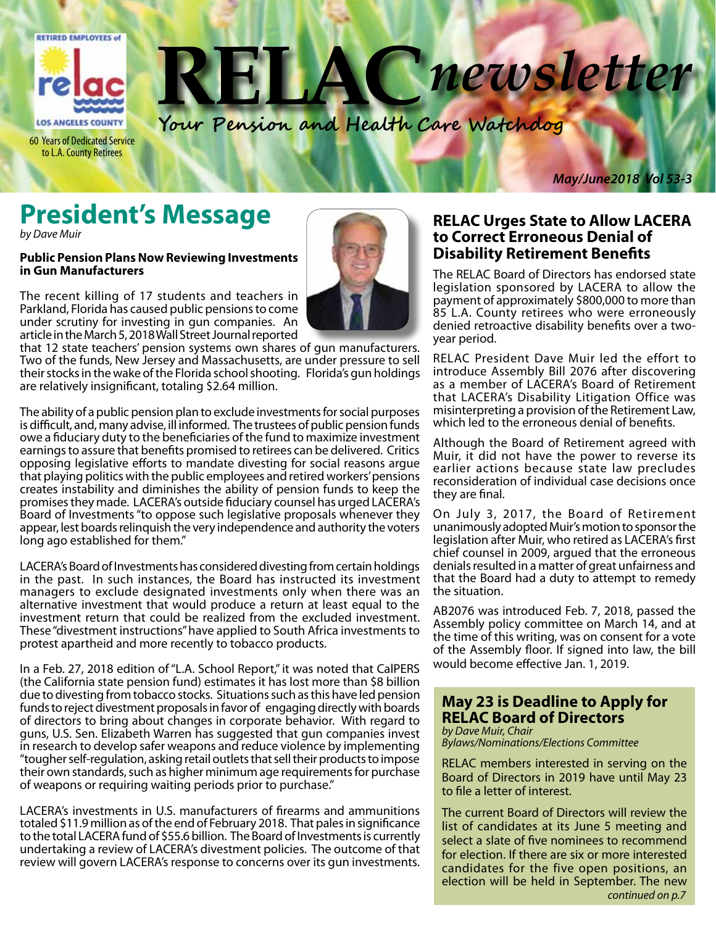

newsletter 45

**Your Pension and Health Care Watchdog**

60 Years of Dedicated Service to L.A. County Retirees

*May/June2018 Vol 53-3*

## **President's Message**

*by Dave Muir*

#### **Public Pension Plans Now Reviewing Investments in Gun Manufacturers**

The recent killing of 17 students and teachers in Parkland, Florida has caused public pensions to come under scrutiny for investing in gun companies. An article in the March 5, 2018 Wall Street Journal reported



that 12 state teachers' pension systems own shares of gun manufacturers. Two of the funds, New Jersey and Massachusetts, are under pressure to sell their stocks in the wake of the Florida school shooting. Florida's gun holdings are relatively insignificant, totaling \$2.64 million.

The ability of a public pension plan to exclude investments for social purposes is difficult, and, many advise, ill informed. The trustees of public pension funds owe a fiduciary duty to the beneficiaries of the fund to maximize investment earnings to assure that benefits promised to retirees can be delivered. Critics opposing legislative efforts to mandate divesting for social reasons argue that playing politics with the public employees and retired workers' pensions creates instability and diminishes the ability of pension funds to keep the promises they made. LACERA's outside fiduciary counsel has urged LACERA's Board of Investments "to oppose such legislative proposals whenever they appear, lest boards relinquish the very independence and authority the voters long ago established for them."

LACERA's Board of Investments has considered divesting from certain holdings in the past. In such instances, the Board has instructed its investment managers to exclude designated investments only when there was an alternative investment that would produce a return at least equal to the investment return that could be realized from the excluded investment. These "divestment instructions" have applied to South Africa investments to protest apartheid and more recently to tobacco products.

In a Feb. 27, 2018 edition of "L.A. School Report," it was noted that CalPERS (the California state pension fund) estimates it has lost more than \$8 billion due to divesting from tobacco stocks. Situations such as this have led pension funds to reject divestment proposals in favor of engaging directly with boards of directors to bring about changes in corporate behavior. With regard to guns, U.S. Sen. Elizabeth Warren has suggested that gun companies invest in research to develop safer weapons and reduce violence by implementing "tougher self-regulation, asking retail outlets that sell their products to impose their own standards, such as higher minimum age requirements for purchase of weapons or requiring waiting periods prior to purchase."

LACERA's investments in U.S. manufacturers of firearms and ammunitions totaled \$11.9 million as of the end of February 2018. That pales in significance to the total LACERA fund of \$55.6 billion. The Board of Investments is currently undertaking a review of LACERA's divestment policies. The outcome of that review will govern LACERA's response to concerns over its gun investments.

#### **RELAC Urges State to Allow LACERA to Correct Erroneous Denial of Disability Retirement Benefits**

The RELAC Board of Directors has endorsed state legislation sponsored by LACERA to allow the payment of approximately \$800,000 to more than 85 L.A. County retirees who were erroneously denied retroactive disability benefits over a twoyear period.

RELAC President Dave Muir led the effort to introduce Assembly Bill 2076 after discovering as a member of LACERA's Board of Retirement that LACERA's Disability Litigation Office was misinterpreting a provision of the Retirement Law, which led to the erroneous denial of benefits.

Although the Board of Retirement agreed with Muir, it did not have the power to reverse its earlier actions because state law precludes reconsideration of individual case decisions once they are final.

On July 3, 2017, the Board of Retirement unanimously adopted Muir's motion to sponsor the legislation after Muir, who retired as LACERA's first chief counsel in 2009, argued that the erroneous denials resulted in a matter of great unfairness and that the Board had a duty to attempt to remedy the situation.

AB2076 was introduced Feb. 7, 2018, passed the Assembly policy committee on March 14, and at the time of this writing, was on consent for a vote of the Assembly floor. If signed into law, the bill would become effective Jan. 1, 2019.

#### **May 23 is Deadline to Apply for RELAC Board of Directors**

*by Dave Muir, Chair Bylaws/Nominations/Elections Committee*

RELAC members interested in serving on the Board of Directors in 2019 have until May 23 to file a letter of interest.

The current Board of Directors will review the list of candidates at its June 5 meeting and select a slate of five nominees to recommend for election. If there are six or more interested candidates for the five open positions, an election will be held in September. The new *continued on p.7*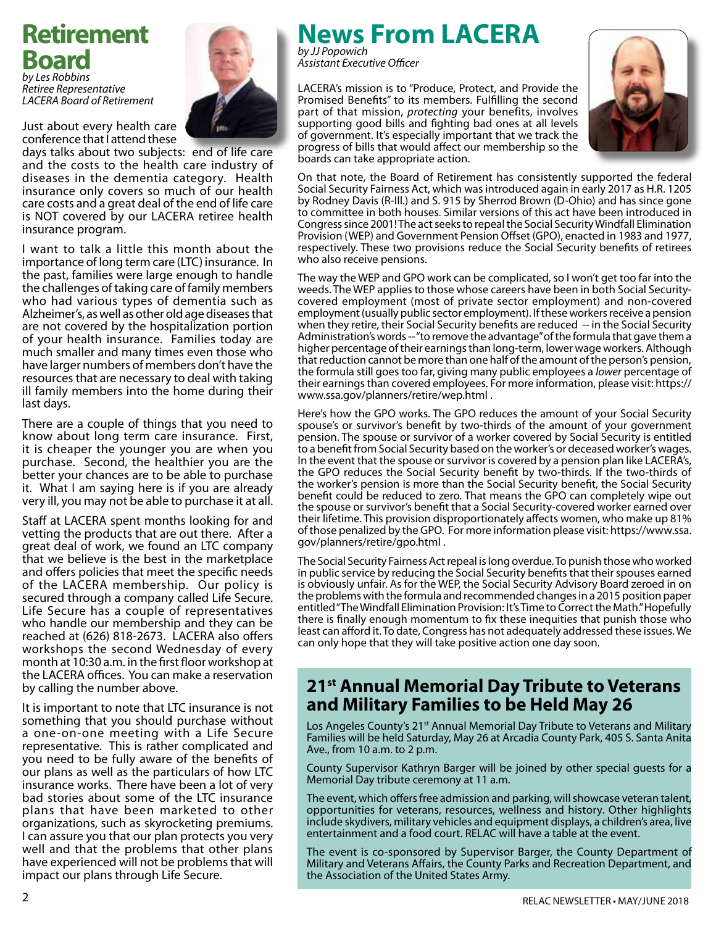## **Retirement Board**

*by Les Robbins Retiree Representative LACERA Board of Retirement*



Just about every health care conference that I attend these

days talks about two subjects: end of life care and the costs to the health care industry of diseases in the dementia category. Health insurance only covers so much of our health care costs and a great deal of the end of life care is NOT covered by our LACERA retiree health insurance program.

I want to talk a little this month about the importance of long term care (LTC) insurance. In the past, families were large enough to handle the challenges of taking care of family members who had various types of dementia such as Alzheimer's, as well as other old age diseases that are not covered by the hospitalization portion of your health insurance. Families today are much smaller and many times even those who have larger numbers of members don't have the resources that are necessary to deal with taking ill family members into the home during their last days.

There are a couple of things that you need to know about long term care insurance. First, it is cheaper the younger you are when you purchase. Second, the healthier you are the better your chances are to be able to purchase it. What I am saying here is if you are already very ill, you may not be able to purchase it at all.

Staff at LACERA spent months looking for and vetting the products that are out there. After a great deal of work, we found an LTC company that we believe is the best in the marketplace and offers policies that meet the specific needs of the LACERA membership. Our policy is secured through a company called Life Secure. Life Secure has a couple of representatives who handle our membership and they can be reached at (626) 818-2673. LACERA also offers workshops the second Wednesday of every month at 10:30 a.m. in the first floor workshop at the LACERA offices. You can make a reservation by calling the number above.

It is important to note that LTC insurance is not something that you should purchase without a one-on-one meeting with a Life Secure representative. This is rather complicated and you need to be fully aware of the benefits of our plans as well as the particulars of how LTC insurance works. There have been a lot of very bad stories about some of the LTC insurance plans that have been marketed to other organizations, such as skyrocketing premiums. I can assure you that our plan protects you very well and that the problems that other plans have experienced will not be problems that will impact our plans through Life Secure.

## **News From LACERA**

*by JJ Popowich Assistant Executive Officer*

LACERA's mission is to "Produce, Protect, and Provide the Promised Benefits" to its members. Fulfilling the second part of that mission, *protecting* your benefits, involves supporting good bills and fighting bad ones at all levels of government. It's especially important that we track the progress of bills that would affect our membership so the boards can take appropriate action.



On that note, the Board of Retirement has consistently supported the federal Social Security Fairness Act, which was introduced again in early 2017 as H.R. 1205 by Rodney Davis (R-Ill.) and S. 915 by Sherrod Brown (D-Ohio) and has since gone to committee in both houses. Similar versions of this act have been introduced in Congress since 2001! The act seeks to repeal the Social Security Windfall Elimination Provision (WEP) and Government Pension Offset (GPO), enacted in 1983 and 1977, respectively. These two provisions reduce the Social Security benefits of retirees who also receive pensions.

The way the WEP and GPO work can be complicated, so I won't get too far into the weeds. The WEP applies to those whose careers have been in both Social Securitycovered employment (most of private sector employment) and non-covered employment (usually public sector employment). If these workers receive a pension when they retire, their Social Security benefits are reduced -- in the Social Security Administration's words -- "to remove the advantage" of the formula that gave them a higher percentage of their earnings than long-term, lower wage workers. Although that reduction cannot be more than one half of the amount of the person's pension, the formula still goes too far, giving many public employees a *lower* percentage of their earnings than covered employees. For more information, please visit: https:// www.ssa.gov/planners/retire/wep.html .

Here's how the GPO works. The GPO reduces the amount of your Social Security spouse's or survivor's benefit by two-thirds of the amount of your government pension. The spouse or survivor of a worker covered by Social Security is entitled to a benefit from Social Security based on the worker's or deceased worker's wages. In the event that the spouse or survivor is covered by a pension plan like LACERA's, the GPO reduces the Social Security benefit by two-thirds. If the two-thirds of the worker's pension is more than the Social Security benefit, the Social Security benefit could be reduced to zero. That means the GPO can completely wipe out the spouse or survivor's benefit that a Social Security-covered worker earned over their lifetime. This provision disproportionately affects women, who make up 81% of those penalized by the GPO. For more information please visit: https://www.ssa. gov/planners/retire/gpo.html .

The Social Security Fairness Act repeal is long overdue. To punish those who worked in public service by reducing the Social Security benefits that their spouses earned is obviously unfair. As for the WEP, the Social Security Advisory Board zeroed in on the problems with the formula and recommended changes in a 2015 position paper entitled "The Windfall Elimination Provision: It's Time to Correct the Math." Hopefully there is finally enough momentum to fix these inequities that punish those who least can afford it. To date, Congress has not adequately addressed these issues. We can only hope that they will take positive action one day soon.

### **21st Annual Memorial Day Tribute to Veterans and Military Families to be Held May 26**

Los Angeles County's 21<sup>st</sup> Annual Memorial Day Tribute to Veterans and Military Families will be held Saturday, May 26 at Arcadia County Park, 405 S. Santa Anita Ave., from 10 a.m. to 2 p.m.

County Supervisor Kathryn Barger will be joined by other special guests for a Memorial Day tribute ceremony at 11 a.m.

The event, which offers free admission and parking, will showcase veteran talent, opportunities for veterans, resources, wellness and history. Other highlights include skydivers, military vehicles and equipment displays, a children's area, live entertainment and a food court. RELAC will have a table at the event.

The event is co-sponsored by Supervisor Barger, the County Department of Military and Veterans Affairs, the County Parks and Recreation Department, and the Association of the United States Army.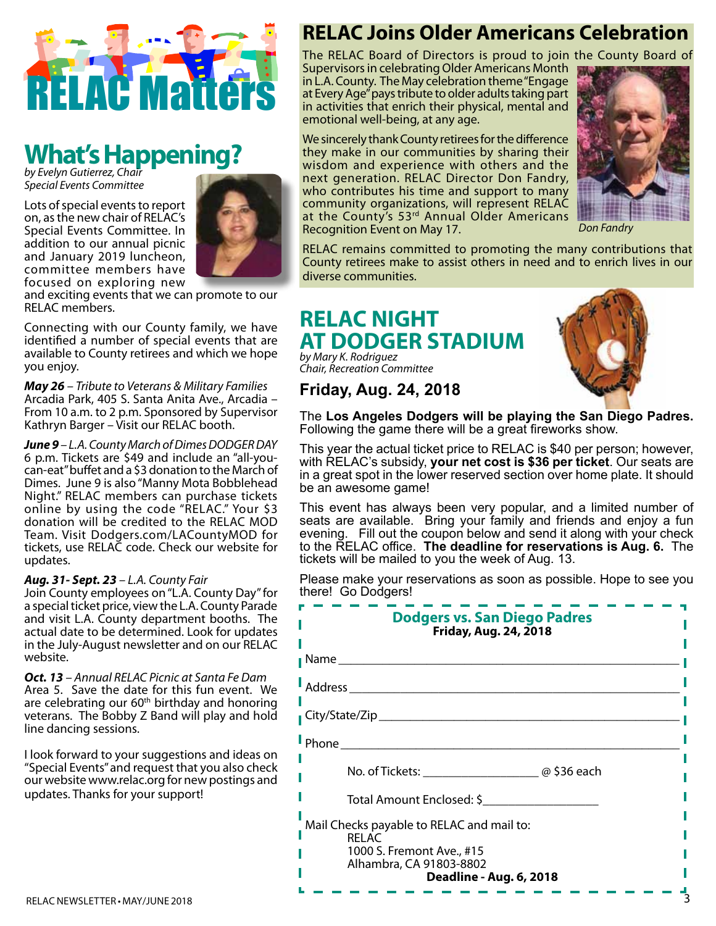

# **What's Happening?** *by Evelyn Gutierrez, Chair*

*Special Events Committee*

Lots of special events to report on, as the new chair of RELAC's Special Events Committee. In addition to our annual picnic and January 2019 luncheon, committee members have focused on exploring new



and exciting events that we can promote to our RELAC members.

Connecting with our County family, we have identified a number of special events that are available to County retirees and which we hope you enjoy.

*May 26 – Tribute to Veterans & Military Families* Arcadia Park, 405 S. Santa Anita Ave., Arcadia – From 10 a.m. to 2 p.m. Sponsored by Supervisor Kathryn Barger – Visit our RELAC booth.

*June 9 – L.A. County March of Dimes DODGER DAY* 6 p.m. Tickets are \$49 and include an "all-youcan-eat" buffet and a \$3 donation to the March of Dimes. June 9 is also "Manny Mota Bobblehead Night." RELAC members can purchase tickets online by using the code "RELAC." Your \$3 donation will be credited to the RELAC MOD Team. Visit Dodgers.com/LACountyMOD for tickets, use RELAC code. Check our website for updates.

#### *Aug. 31- Sept. 23 – L.A. County Fair*

Join County employees on "L.A. County Day" for a special ticket price, view the L.A. County Parade and visit L.A. County department booths. The actual date to be determined. Look for updates in the July-August newsletter and on our RELAC website.

*Oct. 13 – Annual RELAC Picnic at Santa Fe Dam* Area 5. Save the date for this fun event. We are celebrating our 60<sup>th</sup> birthday and honoring veterans. The Bobby Z Band will play and hold line dancing sessions.

I look forward to your suggestions and ideas on "Special Events" and request that you also check our website www.relac.org for new postings and updates. Thanks for your support!

### **RELAC Joins Older Americans Celebration**

The RELAC Board of Directors is proud to join the County Board of Supervisors in celebrating Older Americans Month in L.A. County. The May celebration theme "Engage at Every Age" pays tribute to older adults taking part in activities that enrich their physical, mental and emotional well-being, at any age.

We sincerely thank County retirees for the difference they make in our communities by sharing their wisdom and experience with others and the next generation. RELAC Director Don Fandry, who contributes his time and support to many community organizations, will represent RELAC at the County's 53<sup>rd</sup> Annual Older Americans Recognition Event on May 17.



*Don Fandry*

RELAC remains committed to promoting the many contributions that County retirees make to assist others in need and to enrich lives in our diverse communities.

#### **RELAC NIGHT AT DODGER STADIUM** *by Mary K. Rodriguez*

*Chair, Recreation Committee*

### **Friday, Aug. 24, 2018**



The **Los Angeles Dodgers will be playing the San Diego Padres.** Following the game there will be a great fireworks show.

This year the actual ticket price to RELAC is \$40 per person; however, with RELAC's subsidy, **your net cost is \$36 per ticket**. Our seats are in a great spot in the lower reserved section over home plate. It should be an awesome game!

This event has always been very popular, and a limited number of seats are available. Bring your family and friends and enjoy a fun evening. Fill out the coupon below and send it along with your check to the RELAC office. **The deadline for reservations is Aug. 6.** The tickets will be mailed to you the week of Aug. 13.

Please make your reservations as soon as possible. Hope to see you there! Go Dodgers!

| <b>Dodgers vs. San Diego Padres</b><br><b>Friday, Aug. 24, 2018</b>                                                                          |
|----------------------------------------------------------------------------------------------------------------------------------------------|
| Name _______                                                                                                                                 |
| Address                                                                                                                                      |
|                                                                                                                                              |
| l Phone                                                                                                                                      |
|                                                                                                                                              |
| Total Amount Enclosed: \$                                                                                                                    |
| Mail Checks payable to RELAC and mail to:<br><b>RELAC</b><br>1000 S. Fremont Ave., #15<br>Alhambra, CA 91803-8802<br>Deadline - Aug. 6, 2018 |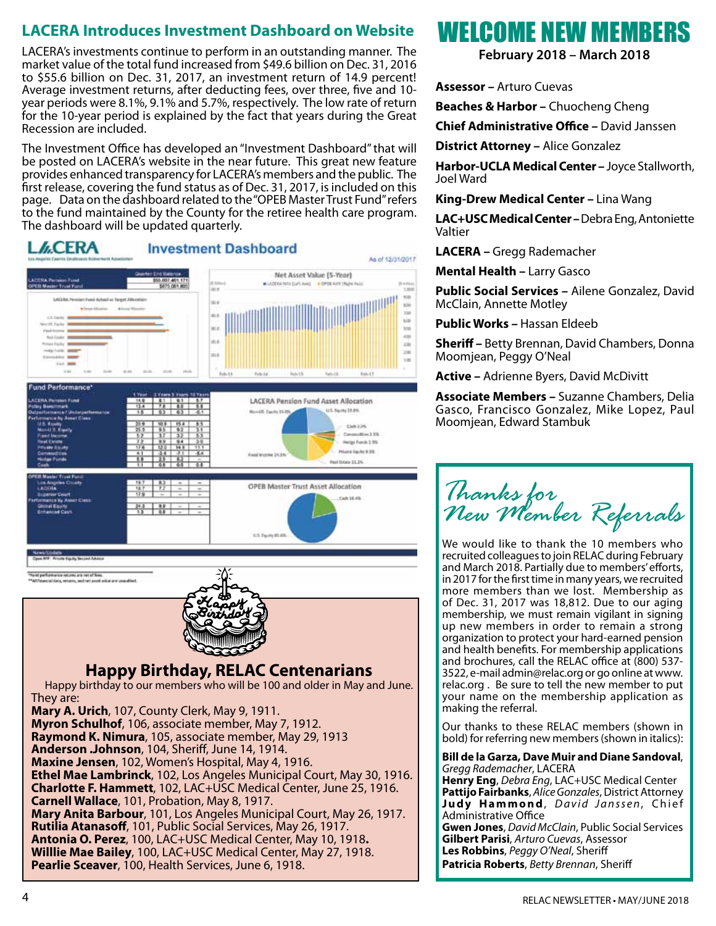### **LACERA Introduces Investment Dashboard on Website**

LACERA's investments continue to perform in an outstanding manner. The market value of the total fund increased from \$49.6 billion on Dec. 31, 2016 to \$55.6 billion on Dec. 31, 2017, an investment return of 14.9 percent! Average investment returns, after deducting fees, over three, five and 10 year periods were 8.1%, 9.1% and 5.7%, respectively. The low rate of return for the 10-year period is explained by the fact that years during the Great Recession are included.

The Investment Office has developed an "Investment Dashboard" that will be posted on LACERA's website in the near future. This great new feature provides enhanced transparency for LACERA's members and the public. The first release, covering the fund status as of Dec. 31, 2017, is included on this page. Data on the dashboard related to the "OPEB Master Trust Fund" refers to the fund maintained by the County for the retiree health care program. The dashboard will be updated quarterly.

#### **LCERA Investment Dashboard** As of 12/31/2017 Net Asset Value (5-Year) u.  $1000$ ter Pend Achail vs Target Alls si i ios ïш ii. Ŀв  $\overline{m}$ tin  $\sim$ зà und Performance **LACERA Pension Fund Asset Allocation** U.S. Review 23:4% **Buside, Saving 24,000** Det-12% Communities 2.5% Heigi Fundi 2.1% Private Equity 9.3% Fixed Income 24.6% Real Streets 11, 2% ÷ **OPEB Master Trust Asset Allocation** 08.81 Au3. 115 Taufu \$1.85 To be performance returns are ret of fires et solver and unauditect **Happy Birthday, RELAC Centenarians** Happy birthday to our members who will be 100 and older in May and June. They are: **Mary A. Urich**, 107, County Clerk, May 9, 1911. **Myron Schulhof**, 106, associate member, May 7, 1912. **Raymond K. Nimura**, 105, associate member, May 29, 1913

**Anderson .Johnson**, 104, Sheriff, June 14, 1914. **Maxine Jensen**, 102, Women's Hospital, May 4, 1916. **Ethel Mae Lambrinck**, 102, Los Angeles Municipal Court, May 30, 1916. **Charlotte F. Hammett**, 102, LAC+USC Medical Center, June 25, 1916. **Carnell Wallace**, 101, Probation, May 8, 1917. **Mary Anita Barbour**, 101, Los Angeles Municipal Court, May 26, 1917. **Rutilia Atanasoff**, 101, Public Social Services, May 26, 1917. **Antonia O. Perez**, 100, LAC+USC Medical Center, May 10, 1918**. Willlie Mae Bailey**, 100, LAC+USC Medical Center, May 27, 1918. **Pearlie Sceaver**, 100, Health Services, June 6, 1918.

## WELCOME NEW MEMBERS

**February 2018 – March 2018**

**Assessor –** Arturo Cuevas

**Beaches & Harbor –** Chuocheng Cheng

**Chief Administrative Office –** David Janssen

**District Attorney –** Alice Gonzalez

**Harbor-UCLA Medical Center –** Joyce Stallworth, Joel Ward

**King-Drew Medical Center –** Lina Wang

**LAC+USC Medical Center –** Debra Eng, Antoniette Valtier

**LACERA –** Gregg Rademacher

**Mental Health –** Larry Gasco

**Public Social Services –** Ailene Gonzalez, David McClain, Annette Motley

**Public Works –** Hassan Eldeeb

**Sheriff –** Betty Brennan, David Chambers, Donna Moomjean, Peggy O'Neal

**Active –** Adrienne Byers, David McDivitt

**Associate Members –** Suzanne Chambers, Delia Gasco, Francisco Gonzalez, Mike Lopez, Paul Moomjean, Edward Stambuk

*Thanks for New Member Referrals* 

We would like to thank the 10 members who recruited colleagues to join RELAC during February and March 2018. Partially due to members' efforts, in 2017 for the first time in many years, we recruited more members than we lost. Membership as of Dec. 31, 2017 was 18,812. Due to our aging membership, we must remain vigilant in signing up new members in order to remain a strong organization to protect your hard-earned pension and health benefits. For membership applications and brochures, call the RELAC office at (800) 537- 3522, e-mail admin@relac.org or go online at www. relac.org . Be sure to tell the new member to put your name on the membership application as making the referral.

Our thanks to these RELAC members (shown in bold) for referring new members (shown in italics):

**Bill de la Garza, Dave Muir and Diane Sandoval**, *Gregg Rademacher*, LACERA

**Henry Eng**, *Debra Eng*, LAC+USC Medical Center **Pattijo Fairbanks**, *Alice Gonzales*, District Attorney Judy Hammond, David Janssen, Chief Administrative Office

**Gwen Jones**, *David McClain*, Public Social Services **Gilbert Parisi**, *Arturo Cuevas*, Assessor **Les Robbins**, *Peggy O'Neal*, Sheriff **Patricia Roberts**, *Betty Brennan*, Sheriff

ì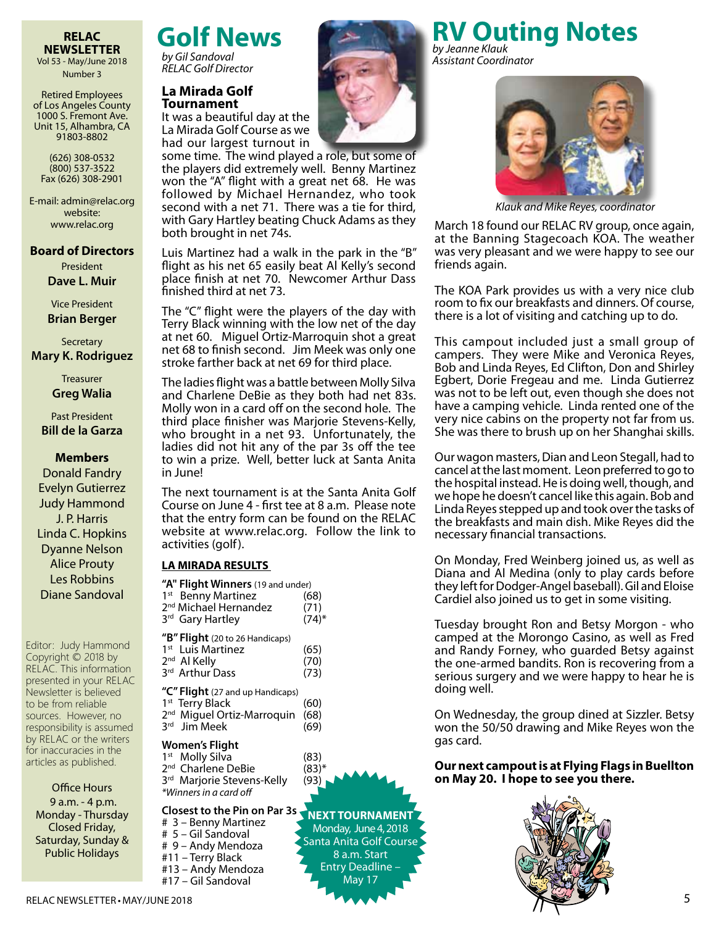## Vol 53 - May/June 2018

Number 3

Retired Employees of Los Angeles County 1000 S. Fremont Ave. Unit 15, Alhambra, CA 91803-8802

(626) 308-0532 (800) 537-3522 Fax (626) 308-2901

E-mail: admin@relac.org website: www.relac.org

#### **Board of Directors** President **Dave L. Muir**

Vice President **Brian Berger**

**Secretary** 

**Mary K. Rodriguez**

**Treasurer Greg Walia**

Past President **Bill de la Garza**

#### **Members**

Donald Fandry Evelyn Gutierrez Judy Hammond J. P. Harris Linda C. Hopkins Dyanne Nelson Alice Prouty Les Robbins Diane Sandoval

Editor: Judy Hammond Copyright © 2018 by RELAC. This information presented in your RELAC Newsletter is believed to be from reliable sources. However, no responsibility is assumed by RELAC or the writers for inaccuracies in the articles as published.

#### Office Hours

9 a.m. - 4 p.m. Monday - Thursday Closed Friday, Saturday, Sunday & Public Holidays

## **RELAC Golf News**

*by Gil Sandoval RELAC Golf Director*

#### **La Mirada Golf Tournament**

It was a beautiful day at the La Mirada Golf Course as we had our largest turnout in

some time. The wind played a role, but some of the players did extremely well. Benny Martinez won the "A" flight with a great net 68. He was followed by Michael Hernandez, who took second with a net 71. There was a tie for third, with Gary Hartley beating Chuck Adams as they both brought in net 74s.

Luis Martinez had a walk in the park in the "B" flight as his net 65 easily beat Al Kelly's second place finish at net 70. Newcomer Arthur Dass finished third at net 73.

The "C" flight were the players of the day with Terry Black winning with the low net of the day at net 60. Miguel Ortiz-Marroquin shot a great net 68 to finish second. Jim Meek was only one stroke farther back at net 69 for third place.

The ladies flight was a battle between Molly Silva and Charlene DeBie as they both had net 83s. Molly won in a card off on the second hole. The third place finisher was Marjorie Stevens-Kelly, who brought in a net 93. Unfortunately, the ladies did not hit any of the par 3s off the tee to win a prize. Well, better luck at Santa Anita in June!

The next tournament is at the Santa Anita Golf Course on June 4 - first tee at 8 a.m. Please note that the entry form can be found on the RELAC website at www.relac.org. Follow the link to activities (golf).

#### **LA MIRADA RESULTS**

| "A" Flight Winners (19 and under) |            |
|-----------------------------------|------------|
| 1 <sup>st</sup> Benny Martinez    | (68)       |
| 2 <sup>nd</sup> Michael Hernandez | (71)       |
| 3rd Gary Hartley                  | $(74)^{*}$ |
|                                   |            |

|  |  |  | "B" Flight (20 to 26 Handicaps) |
|--|--|--|---------------------------------|
|  |  |  |                                 |

| 1 <sup>st</sup> Luis Martinez | (65) |
|-------------------------------|------|
| 2 <sup>nd</sup> Al Kelly      | (70) |
| ard Authors Deed              | (72) |

| 3rd Arthur Dass                  | (73) |
|----------------------------------|------|
| "C" Flight (27 and up Handicaps) |      |
| 1 <sup>st</sup> Terry Black      | (60) |

| 2 <sup>nd</sup> Miguel Ortiz-Marroquin (68) |      |
|---------------------------------------------|------|
| ard Bas Mask                                | (60) |

3rd Jim Meek (69)

#### **Women's Flight**

 $1<sup>st</sup>$  Molly Silva (83) 2<sup>nd</sup> Charlene DeBie (83)\* 3<sup>rd</sup> Marjorie Stevens-Kelly (93) *\*Winners in a card off* 

#### **Closest to the Pin on Par 3s**

# 3 – Benny Martinez # 5 – Gil Sandoval # 9 – Andy Mendoza #11 – Terry Black #13 – Andy Mendoza #17 – Gil Sandoval

**NEXT TOURNAMENT** Monday, June 4, 2018 Santa Anita Golf Course 8 a.m. Start Entry Deadline – May 17



*Klauk and Mike Reyes, coordinator*

March 18 found our RELAC RV group, once again, at the Banning Stagecoach KOA. The weather was very pleasant and we were happy to see our friends again.

The KOA Park provides us with a very nice club room to fix our breakfasts and dinners. Of course, there is a lot of visiting and catching up to do.

This campout included just a small group of campers. They were Mike and Veronica Reyes, Bob and Linda Reyes, Ed Clifton, Don and Shirley Egbert, Dorie Fregeau and me. Linda Gutierrez was not to be left out, even though she does not have a camping vehicle. Linda rented one of the very nice cabins on the property not far from us. She was there to brush up on her Shanghai skills.

Our wagon masters, Dian and Leon Stegall, had to cancel at the last moment. Leon preferred to go to the hospital instead. He is doing well, though, and we hope he doesn't cancel like this again. Bob and Linda Reyes stepped up and took over the tasks of the breakfasts and main dish. Mike Reyes did the necessary financial transactions.

On Monday, Fred Weinberg joined us, as well as Diana and Al Medina (only to play cards before they left for Dodger-Angel baseball). Gil and Eloise Cardiel also joined us to get in some visiting.

Tuesday brought Ron and Betsy Morgon - who camped at the Morongo Casino, as well as Fred and Randy Forney, who guarded Betsy against the one-armed bandits. Ron is recovering from a serious surgery and we were happy to hear he is doing well.

On Wednesday, the group dined at Sizzler. Betsy won the 50/50 drawing and Mike Reyes won the gas card.

**Our next campout is at Flying Flags in Buellton on May 20. I hope to see you there.**



#### **RV Outing Notes** *by Jeanne Klauk*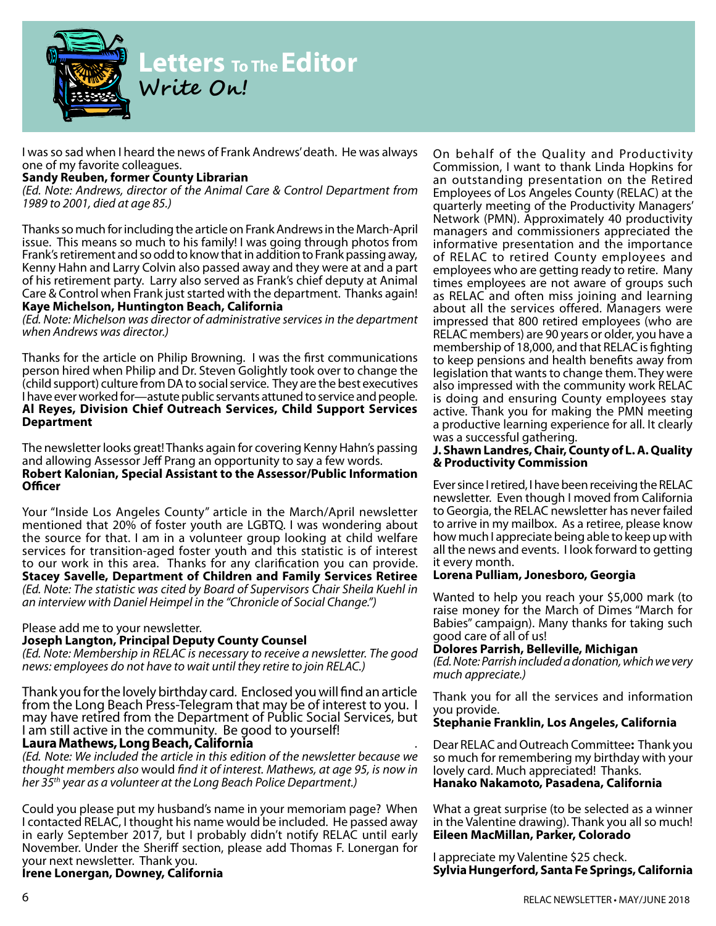

## **Letters To The Editor Write On!**

I was so sad when I heard the news of Frank Andrews' death. He was always one of my favorite colleagues.

#### **Sandy Reuben, former County Librarian**

*(Ed. Note: Andrews, director of the Animal Care & Control Department from 1989 to 2001, died at age 85.)*

Thanks so much for including the article on Frank Andrews in the March-April issue. This means so much to his family! I was going through photos from Frank's retirement and so odd to know that in addition to Frank passing away, Kenny Hahn and Larry Colvin also passed away and they were at and a part of his retirement party. Larry also served as Frank's chief deputy at Animal Care & Control when Frank just started with the department. Thanks again! **Kaye Michelson, Huntington Beach, California**

*(Ed. Note: Michelson was director of administrative services in the department when Andrews was director.)*

Thanks for the article on Philip Browning. I was the first communications person hired when Philip and Dr. Steven Golightly took over to change the (child support) culture from DA to social service. They are the best executives I have ever worked for—astute public servants attuned to service and people. **Al Reyes, Division Chief Outreach Services, Child Support Services Department**

The newsletter looks great! Thanks again for covering Kenny Hahn's passing and allowing Assessor Jeff Prang an opportunity to say a few words. **Robert Kalonian, Special Assistant to the Assessor/Public Information Officer**

Your "Inside Los Angeles County" article in the March/April newsletter mentioned that 20% of foster youth are LGBTQ. I was wondering about the source for that. I am in a volunteer group looking at child welfare services for transition-aged foster youth and this statistic is of interest to our work in this area. Thanks for any clarification you can provide. **Stacey Savelle, Department of Children and Family Services Retiree**  *(Ed. Note: The statistic was cited by Board of Supervisors Chair Sheila Kuehl in an interview with Daniel Heimpel in the "Chronicle of Social Change.")*

#### Please add me to your newsletter.

#### **Joseph Langton, Principal Deputy County Counsel**

*(Ed. Note: Membership in RELAC is necessary to receive a newsletter. The good news: employees do not have to wait until they retire to join RELAC.)*

Thank you for the lovely birthday card. Enclosed you will find an article from the Long Beach Press-Telegram that may be of interest to you. I may have retired from the Department of Public Social Services, but I am still active in the community. Be good to yourself! **Laura Mathews, Long Beach, California** *.*

*(Ed. Note: We included the article in this edition of the newsletter because we thought members also* would *find it of interest. Mathews, at age 95, is now in her 35th year as a volunteer at the Long Beach Police Department.)*

Could you please put my husband's name in your memoriam page? When I contacted RELAC, I thought his name would be included. He passed away in early September 2017, but I probably didn't notify RELAC until early November. Under the Sheriff section, please add Thomas F. Lonergan for your next newsletter. Thank you.

**Irene Lonergan, Downey, California**

On behalf of the Quality and Productivity Commission, I want to thank Linda Hopkins for an outstanding presentation on the Retired Employees of Los Angeles County (RELAC) at the quarterly meeting of the Productivity Managers' Network (PMN). Approximately 40 productivity managers and commissioners appreciated the informative presentation and the importance of RELAC to retired County employees and employees who are getting ready to retire. Many times employees are not aware of groups such as RELAC and often miss joining and learning about all the services offered. Managers were impressed that 800 retired employees (who are RELAC members) are 90 years or older, you have a membership of 18,000, and that RELAC is fighting to keep pensions and health benefits away from legislation that wants to change them. They were also impressed with the community work RELAC is doing and ensuring County employees stay active. Thank you for making the PMN meeting a productive learning experience for all. It clearly was a successful gathering.

#### **J. Shawn Landres, Chair, County of L. A. Quality & Productivity Commission**

Ever since I retired, I have been receiving the RELAC newsletter. Even though I moved from California to Georgia, the RELAC newsletter has never failed to arrive in my mailbox. As a retiree, please know how much I appreciate being able to keep up with all the news and events. I look forward to getting it every month.

#### **Lorena Pulliam, Jonesboro, Georgia**

Wanted to help you reach your \$5,000 mark (to raise money for the March of Dimes "March for Babies" campaign). Many thanks for taking such good care of all of us!

#### **Dolores Parrish, Belleville, Michigan**

*(Ed. Note: Parrish included a donation, which we very much appreciate.)*

Thank you for all the services and information you provide.

#### **Stephanie Franklin, Los Angeles, California**

Dear RELAC and Outreach Committee**:** Thank you so much for remembering my birthday with your lovely card. Much appreciated! Thanks. **Hanako Nakamoto, Pasadena, California**

What a great surprise (to be selected as a winner in the Valentine drawing). Thank you all so much! **Eileen MacMillan, Parker, Colorado** 

I appreciate my Valentine \$25 check. **Sylvia Hungerford, Santa Fe Springs, California**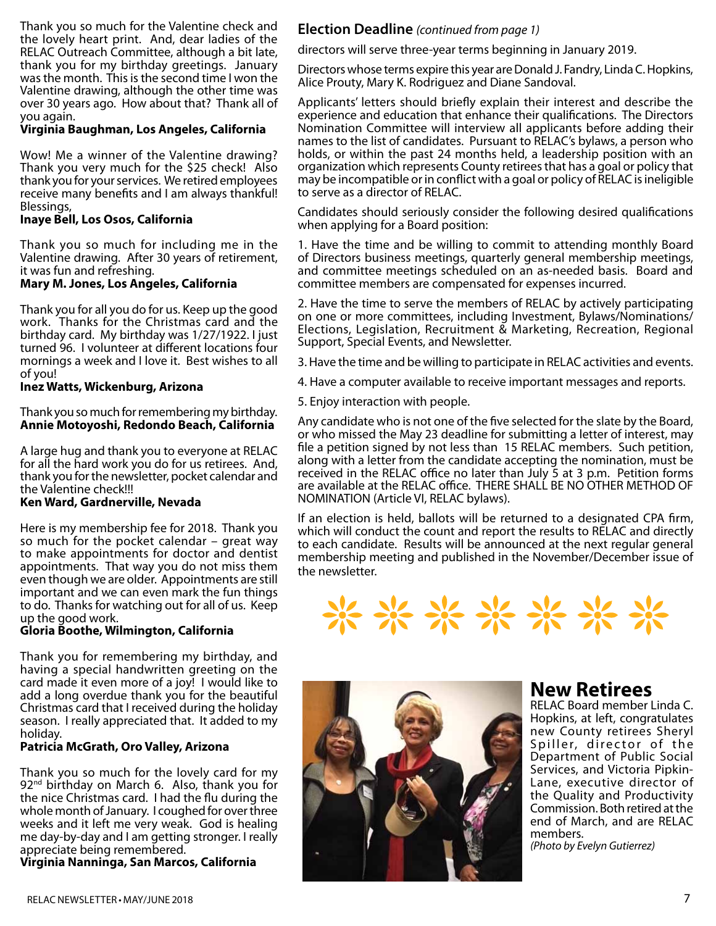Thank you so much for the Valentine check and the lovely heart print. And, dear ladies of the RELAC Outreach Committee, although a bit late, thank you for my birthday greetings. January was the month. This is the second time I won the Valentine drawing, although the other time was over 30 years ago. How about that? Thank all of you again.

#### **Virginia Baughman, Los Angeles, California**

Wow! Me a winner of the Valentine drawing? Thank you very much for the \$25 check! Also thank you for your services. We retired employees receive many benefits and I am always thankful! Blessings,

#### **Inaye Bell, Los Osos, California**

Thank you so much for including me in the Valentine drawing. After 30 years of retirement, it was fun and refreshing.

#### **Mary M. Jones, Los Angeles, California**

Thank you for all you do for us. Keep up the good work. Thanks for the Christmas card and the birthday card. My birthday was 1/27/1922. I just turned 96. I volunteer at different locations four mornings a week and I love it. Best wishes to all of you!

#### **Inez Watts, Wickenburg, Arizona**

Thank you so much for remembering my birthday. **Annie Motoyoshi, Redondo Beach, California**

A large hug and thank you to everyone at RELAC for all the hard work you do for us retirees. And, thank you for the newsletter, pocket calendar and the Valentine check!!!

#### **Ken Ward, Gardnerville, Nevada**

Here is my membership fee for 2018. Thank you so much for the pocket calendar – great way to make appointments for doctor and dentist appointments. That way you do not miss them even though we are older. Appointments are still important and we can even mark the fun things to do. Thanks for watching out for all of us. Keep up the good work.

#### **Gloria Boothe, Wilmington, California**

Thank you for remembering my birthday, and having a special handwritten greeting on the card made it even more of a joy! I would like to add a long overdue thank you for the beautiful Christmas card that I received during the holiday season. I really appreciated that. It added to my holiday.

#### **Patricia McGrath, Oro Valley, Arizona**

Thank you so much for the lovely card for my 92<sup>nd</sup> birthday on March 6. Also, thank you for the nice Christmas card. I had the flu during the whole month of January. I coughed for over three weeks and it left me very weak. God is healing me day-by-day and I am getting stronger. I really appreciate being remembered.

**Virginia Nanninga, San Marcos, California**

#### **Election Deadline** *(continued from page 1)*

directors will serve three-year terms beginning in January 2019.

Directors whose terms expire this year are Donald J. Fandry, Linda C. Hopkins, Alice Prouty, Mary K. Rodriguez and Diane Sandoval.

Applicants' letters should briefly explain their interest and describe the experience and education that enhance their qualifications. The Directors Nomination Committee will interview all applicants before adding their names to the list of candidates. Pursuant to RELAC's bylaws, a person who holds, or within the past 24 months held, a leadership position with an organization which represents County retirees that has a goal or policy that may be incompatible or in conflict with a goal or policy of RELAC is ineligible to serve as a director of RELAC.

Candidates should seriously consider the following desired qualifications when applying for a Board position:

1. Have the time and be willing to commit to attending monthly Board of Directors business meetings, quarterly general membership meetings, and committee meetings scheduled on an as-needed basis. Board and committee members are compensated for expenses incurred.

2. Have the time to serve the members of RELAC by actively participating on one or more committees, including Investment, Bylaws/Nominations/ Elections, Legislation, Recruitment & Marketing, Recreation, Regional Support, Special Events, and Newsletter.

3. Have the time and be willing to participate in RELAC activities and events.

4. Have a computer available to receive important messages and reports.

5. Enjoy interaction with people.

Any candidate who is not one of the five selected for the slate by the Board, or who missed the May 23 deadline for submitting a letter of interest, may file a petition signed by not less than 15 RELAC members. Such petition, along with a letter from the candidate accepting the nomination, must be received in the RELAC office no later than July 5 at 3 p.m. Petition forms are available at the RELAC office. THERE SHALL BE NO OTHER METHOD OF NOMINATION (Article VI, RELAC bylaws).

If an election is held, ballots will be returned to a designated CPA firm, which will conduct the count and report the results to RELAC and directly to each candidate. Results will be announced at the next regular general membership meeting and published in the November/December issue of the newsletter.





#### **New Retirees**

RELAC Board member Linda C. Hopkins, at left, congratulates new County retirees Sheryl Spiller, director of the Department of Public Social Services, and Victoria Pipkin-Lane, executive director of the Quality and Productivity Commission. Both retired at the end of March, and are RELAC members. *(Photo by Evelyn Gutierrez)*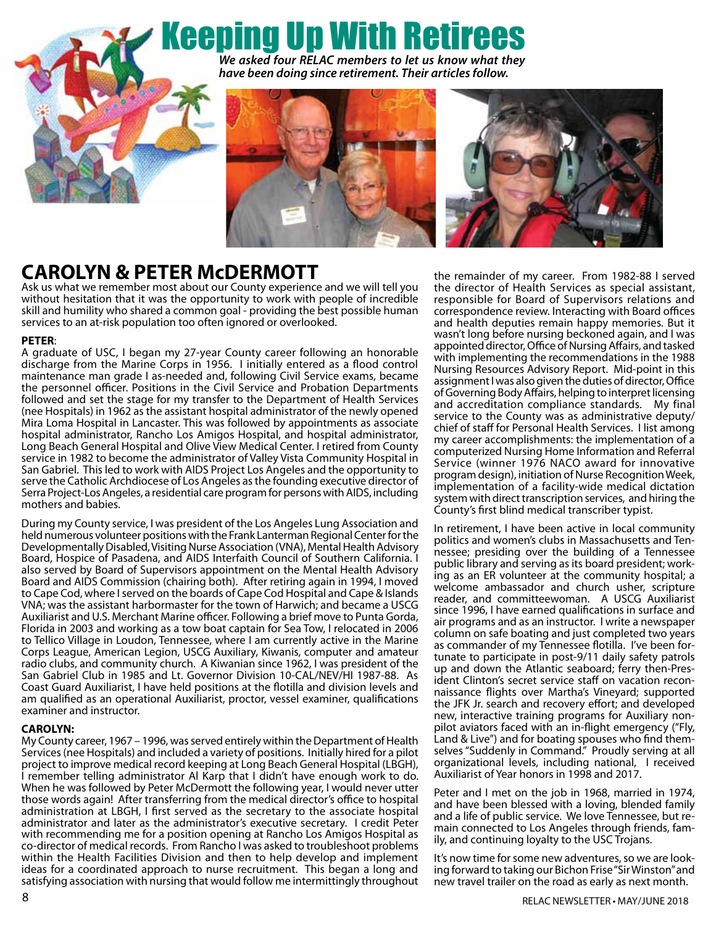# Keeping Up With Retirees



*We asked four RELAC members to let us know what they have been doing since retirement. Their articles follow.*





### **CAROLYN & PETER McDERMOTT**

Ask us what we remember most about our County experience and we will tell you without hesitation that it was the opportunity to work with people of incredible skill and humility who shared a common goal - providing the best possible human services to an at-risk population too often ignored or overlooked.

#### **PETER**:

A graduate of USC, I began my 27-year County career following an honorable discharge from the Marine Corps in 1956. I initially entered as a flood control maintenance man grade I as-needed and, following Civil Service exams, became the personnel officer. Positions in the Civil Service and Probation Departments followed and set the stage for my transfer to the Department of Health Services (nee Hospitals) in 1962 as the assistant hospital administrator of the newly opened Mira Loma Hospital in Lancaster. This was followed by appointments as associate hospital administrator, Rancho Los Amigos Hospital, and hospital administrator, Long Beach General Hospital and Olive View Medical Center. I retired from County service in 1982 to become the administrator of Valley Vista Community Hospital in San Gabriel. This led to work with AIDS Project Los Angeles and the opportunity to serve the Catholic Archdiocese of Los Angeles as the founding executive director of Serra Project-Los Angeles, a residential care program for persons with AIDS, including mothers and babies.

During my County service, I was president of the Los Angeles Lung Association and held numerous volunteer positions with the Frank Lanterman Regional Center for the Developmentally Disabled, Visiting Nurse Association (VNA), Mental Health Advisory Board, Hospice of Pasadena, and AIDS Interfaith Council of Southern California. I also served by Board of Supervisors appointment on the Mental Health Advisory Board and AIDS Commission (chairing both). After retiring again in 1994, I moved to Cape Cod, where I served on the boards of Cape Cod Hospital and Cape & Islands VNA; was the assistant harbormaster for the town of Harwich; and became a USCG Auxiliarist and U.S. Merchant Marine officer. Following a brief move to Punta Gorda, Florida in 2003 and working as a tow boat captain for Sea Tow, I relocated in 2006 to Tellico Village in Loudon, Tennessee, where I am currently active in the Marine Corps League, American Legion, USCG Auxiliary, Kiwanis, computer and amateur radio clubs, and community church. A Kiwanian since 1962, I was president of the San Gabriel Club in 1985 and Lt. Governor Division 10-CAL/NEV/HI 1987-88. As Coast Guard Auxiliarist, I have held positions at the flotilla and division levels and am qualified as an operational Auxiliarist, proctor, vessel examiner, qualifications examiner and instructor.

#### **CAROLYN:**

My County career, 1967 – 1996, was served entirely within the Department of Health Services (nee Hospitals) and included a variety of positions. Initially hired for a pilot project to improve medical record keeping at Long Beach General Hospital (LBGH), I remember telling administrator Al Karp that I didn't have enough work to do. When he was followed by Peter McDermott the following year, I would never utter those words again! After transferring from the medical director's office to hospital administration at LBGH, I first served as the secretary to the associate hospital administrator and later as the administrator's executive secretary. I credit Peter with recommending me for a position opening at Rancho Los Amigos Hospital as co-director of medical records. From Rancho I was asked to troubleshoot problems within the Health Facilities Division and then to help develop and implement ideas for a coordinated approach to nurse recruitment. This began a long and satisfying association with nursing that would follow me intermittingly throughout

the remainder of my career. From 1982-88 I served the director of Health Services as special assistant, responsible for Board of Supervisors relations and correspondence review. Interacting with Board offices and health deputies remain happy memories. But it wasn't long before nursing beckoned again, and I was appointed director, Office of Nursing Affairs, and tasked with implementing the recommendations in the 1988 Nursing Resources Advisory Report. Mid-point in this assignment I was also given the duties of director, Office of Governing Body Affairs, helping to interpret licensing and accreditation compliance standards. My final service to the County was as administrative deputy/ chief of staff for Personal Health Services. I list among my career accomplishments: the implementation of a computerized Nursing Home Information and Referral Service (winner 1976 NACO award for innovative program design), initiation of Nurse Recognition Week, implementation of a facility-wide medical dictation system with direct transcription services, and hiring the County's first blind medical transcriber typist.

In retirement, I have been active in local community politics and women's clubs in Massachusetts and Tennessee; presiding over the building of a Tennessee public library and serving as its board president; working as an ER volunteer at the community hospital; a welcome ambassador and church usher, scripture reader, and committeewoman. A USCG Auxiliarist since 1996, I have earned qualifications in surface and air programs and as an instructor. I write a newspaper column on safe boating and just completed two years as commander of my Tennessee flotilla. I've been fortunate to participate in post-9/11 daily safety patrols up and down the Atlantic seaboard; ferry then-President Clinton's secret service staff on vacation reconnaissance flights over Martha's Vineyard; supported the JFK Jr. search and recovery effort; and developed new, interactive training programs for Auxiliary nonpilot aviators faced with an in-flight emergency ("Fly, Land & Live") and for boating spouses who find themselves "Suddenly in Command." Proudly serving at all organizational levels, including national, I received Auxiliarist of Year honors in 1998 and 2017.

Peter and I met on the job in 1968, married in 1974, and have been blessed with a loving, blended family and a life of public service. We love Tennessee, but remain connected to Los Angeles through friends, fam- ily, and continuing loyalty to the USC Trojans.

It's now time for some new adventures, so we are looking forward to taking our Bichon Frise "Sir Winston" and new travel trailer on the road as early as next month.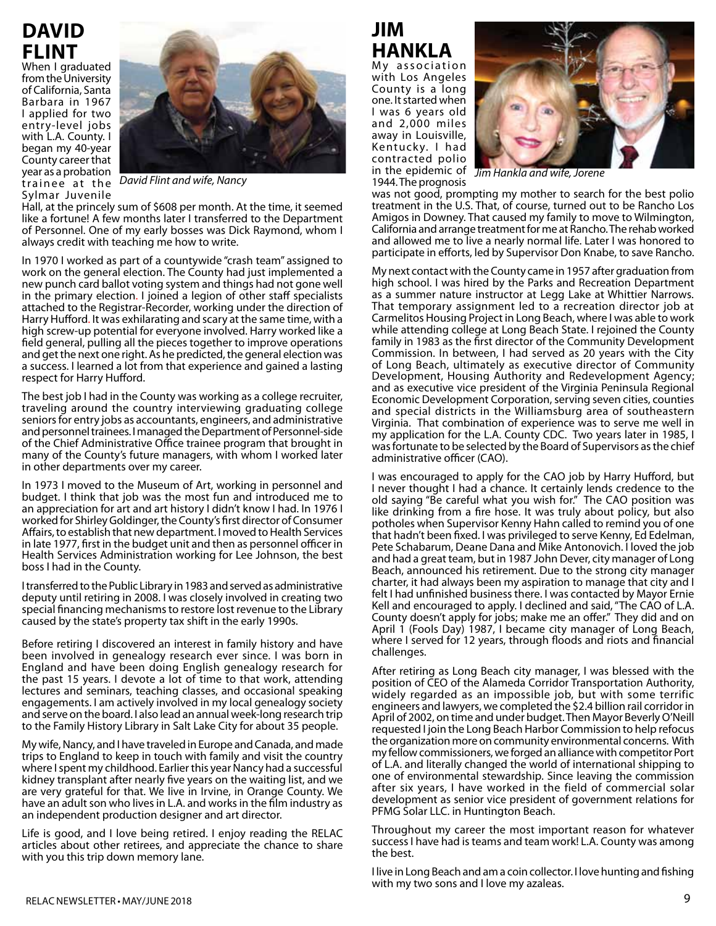## **David Flint**

When I graduated from the University of California, Santa Barbara in 1967 I applied for two entry-level jobs with L.A. County. I began my 40-year County career that year as a probation year as a probation and wife, Jorene at the Maria and wife, Jorene at the Saint Angles and wife, Jorene at the David Flint and wife, Nancy and Saint Angles and Wife, Jorene at the David Flint and wife, Nancy and Saint Angl Sylmar Juvenile



Hall, at the princely sum of \$608 per month. At the time, it seemed like a fortune! A few months later I transferred to the Department of Personnel. One of my early bosses was Dick Raymond, whom I always credit with teaching me how to write.

In 1970 I worked as part of a countywide "crash team" assigned to work on the general election. The County had just implemented a new punch card ballot voting system and things had not gone well in the primary election. I joined a legion of other staff specialists attached to the Registrar-Recorder, working under the direction of Harry Hufford. It was exhilarating and scary at the same time, with a high screw-up potential for everyone involved. Harry worked like a field general, pulling all the pieces together to improve operations and get the next one right. As he predicted, the general election was a success. I learned a lot from that experience and gained a lasting respect for Harry Hufford.

The best job I had in the County was working as a college recruiter, traveling around the country interviewing graduating college seniors for entry jobs as accountants, engineers, and administrative and personnel trainees. I managed the Department of Personnel-side of the Chief Administrative Office trainee program that brought in many of the County's future managers, with whom I worked later in other departments over my career.

In 1973 I moved to the Museum of Art, working in personnel and budget. I think that job was the most fun and introduced me to an appreciation for art and art history I didn't know I had. In 1976 I worked for Shirley Goldinger, the County's first director of Consumer Affairs, to establish that new department. I moved to Health Services in late 1977, first in the budget unit and then as personnel officer in Health Services Administration working for Lee Johnson, the best boss I had in the County.

I transferred to the Public Library in 1983 and served as administrative deputy until retiring in 2008. I was closely involved in creating two special financing mechanisms to restore lost revenue to the Library caused by the state's property tax shift in the early 1990s.

Before retiring I discovered an interest in family history and have been involved in genealogy research ever since. I was born in England and have been doing English genealogy research for the past 15 years. I devote a lot of time to that work, attending lectures and seminars, teaching classes, and occasional speaking engagements. I am actively involved in my local genealogy society and serve on the board. I also lead an annual week-long research trip to the Family History Library in Salt Lake City for about 35 people.

My wife, Nancy, and I have traveled in Europe and Canada, and made trips to England to keep in touch with family and visit the country where I spent my childhood. Earlier this year Nancy had a successful kidney transplant after nearly five years on the waiting list, and we are very grateful for that. We live in Irvine, in Orange County. We have an adult son who lives in L.A. and works in the film industry as an independent production designer and art director.

Life is good, and I love being retired. I enjoy reading the RELAC articles about other retirees, and appreciate the chance to share with you this trip down memory lane.

## **JIM HANKLA**

My association with Los Angeles County is a long one. It started when I was 6 years old and 2,000 miles away in Louisville, Kentucky. I had contracted polio in the epidemic of 1944. The prognosis



was not good, prompting my mother to search for the best polio treatment in the U.S. That, of course, turned out to be Rancho Los Amigos in Downey. That caused my family to move to Wilmington, California and arrange treatment for me at Rancho. The rehab worked and allowed me to live a nearly normal life. Later I was honored to participate in efforts, led by Supervisor Don Knabe, to save Rancho.

My next contact with the County came in 1957 after graduation from high school. I was hired by the Parks and Recreation Department as a summer nature instructor at Legg Lake at Whittier Narrows. That temporary assignment led to a recreation director job at Carmelitos Housing Project in Long Beach, where I was able to work while attending college at Long Beach State. I rejoined the County family in 1983 as the first director of the Community Development Commission. In between, I had served as 20 years with the City of Long Beach, ultimately as executive director of Community Development, Housing Authority and Redevelopment Agency; and as executive vice president of the Virginia Peninsula Regional Economic Development Corporation, serving seven cities, counties and special districts in the Williamsburg area of southeastern Virginia. That combination of experience was to serve me well in my application for the L.A. County CDC. Two years later in 1985, I was fortunate to be selected by the Board of Supervisors as the chief administrative officer (CAO).

I was encouraged to apply for the CAO job by Harry Hufford, but I never thought I had a chance. It certainly lends credence to the old saying "Be careful what you wish for." The CAO position was like drinking from a fire hose. It was truly about policy, but also potholes when Supervisor Kenny Hahn called to remind you of one that hadn't been fixed. I was privileged to serve Kenny, Ed Edelman, Pete Schabarum, Deane Dana and Mike Antonovich. I loved the job and had a great team, but in 1987 John Dever, city manager of Long Beach, announced his retirement. Due to the strong city manager charter, it had always been my aspiration to manage that city and I felt I had unfinished business there. I was contacted by Mayor Ernie Kell and encouraged to apply. I declined and said, "The CAO of L.A. County doesn't apply for jobs; make me an offer." They did and on April 1 (Fools Day) 1987, I became city manager of Long Beach, where I served for 12 years, through floods and riots and financial challenges.

After retiring as Long Beach city manager, I was blessed with the position of CEO of the Alameda Corridor Transportation Authority, widely regarded as an impossible job, but with some terrific engineers and lawyers, we completed the \$2.4 billion rail corridor in April of 2002, on time and under budget. Then Mayor Beverly O'Neill requested I join the Long Beach Harbor Commission to help refocus the organization more on community environmental concerns. With my fellow commissioners, we forged an alliance with competitor Port of L.A. and literally changed the world of international shipping to one of environmental stewardship. Since leaving the commission after six years, I have worked in the field of commercial solar development as senior vice president of government relations for PFMG Solar LLC. in Huntington Beach.

Throughout my career the most important reason for whatever success I have had is teams and team work! L.A. County was among the best.

I live in Long Beach and am a coin collector. I love hunting and fishing with my two sons and I love my azaleas.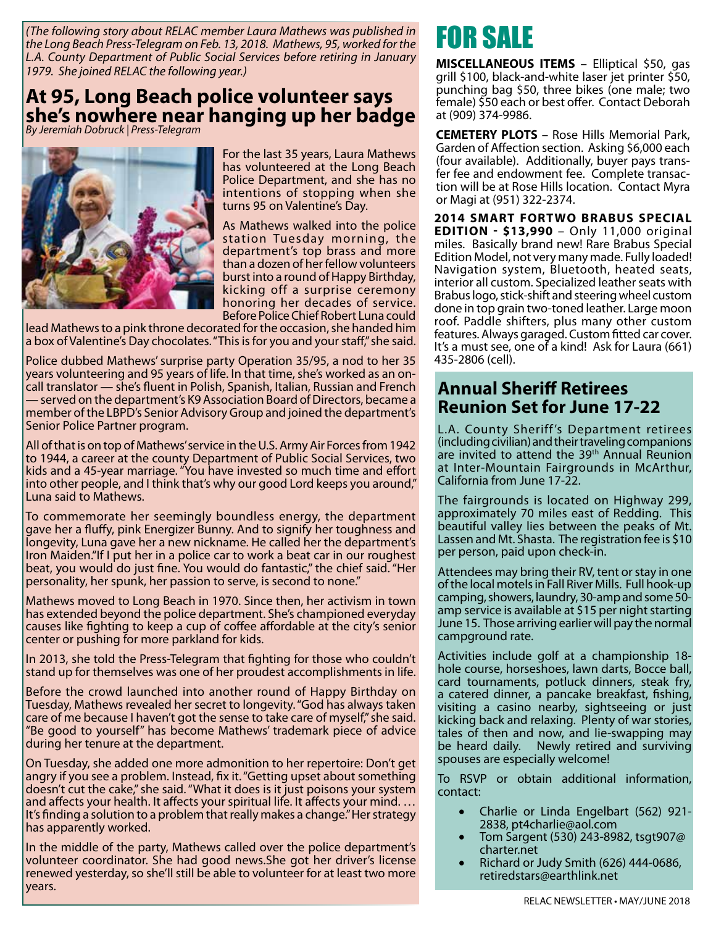*(The following story about RELAC member Laura Mathews was published in the Long Beach Press-Telegram on Feb. 13, 2018. Mathews, 95, worked for the L.A. County Department of Public Social Services before retiring in January 1979. She joined RELAC the following year.)*

### **At 95, Long Beach police volunteer says she's nowhere near hanging up her badge**

*By Jeremiah Dobruck | Press-Telegram*



For the last 35 years, Laura Mathews has volunteered at the Long Beach Police Department, and she has no intentions of stopping when she turns 95 on Valentine's Day.

As Mathews walked into the police station Tuesday morning, the department's top brass and more than a dozen of her fellow volunteers burst into a round of Happy Birthday, kicking off a surprise ceremony honoring her decades of service. Before Police Chief Robert Luna could

lead Mathews to a pink throne decorated for the occasion, she handed him a box of Valentine's Day chocolates. "This is for you and your staff," she said.

Police dubbed Mathews' surprise party Operation 35/95, a nod to her 35 years volunteering and 95 years of life. In that time, she's worked as an oncall translator — she's fluent in Polish, Spanish, Italian, Russian and French — served on the department's K9 Association Board of Directors, became a member of the LBPD's Senior Advisory Group and joined the department's Senior Police Partner program.

All of that is on top of Mathews' service in the U.S. Army Air Forces from 1942 to 1944, a career at the county Department of Public Social Services, two kids and a 45-year marriage. "You have invested so much time and effort into other people, and I think that's why our good Lord keeps you around," Luna said to Mathews.

To commemorate her seemingly boundless energy, the department gave her a fluffy, pink Energizer Bunny. And to signify her toughness and longevity, Luna gave her a new nickname. He called her the department's Iron Maiden."If I put her in a police car to work a beat car in our roughest beat, you would do just fine. You would do fantastic," the chief said. "Her personality, her spunk, her passion to serve, is second to none."

Mathews moved to Long Beach in 1970. Since then, her activism in town has extended beyond the police department. She's championed everyday causes like fighting to keep a cup of coffee affordable at the city's senior center or pushing for more parkland for kids.

In 2013, she told the Press-Telegram that fighting for those who couldn't stand up for themselves was one of her proudest accomplishments in life.

Before the crowd launched into another round of Happy Birthday on Tuesday, Mathews revealed her secret to longevity. "God has always taken care of me because I haven't got the sense to take care of myself," she said. "Be good to yourself" has become Mathews' trademark piece of advice during her tenure at the department.

On Tuesday, she added one more admonition to her repertoire: Don't get angry if you see a problem. Instead, fix it. "Getting upset about something doesn't cut the cake," she said. "What it does is it just poisons your system and affects your health. It affects your spiritual life. It affects your mind. … It's finding a solution to a problem that really makes a change." Her strategy has apparently worked.

In the middle of the party, Mathews called over the police department's volunteer coordinator. She had good news.She got her driver's license renewed yesterday, so she'll still be able to volunteer for at least two more years.

## FOR SALE

**MISCELLANEOUS ITEMS** – Elliptical \$50, gas grill \$100, black-and-white laser jet printer \$50, punching bag \$50, three bikes (one male; two female) \$50 each or best offer. Contact Deborah at (909) 374-9986.

**CEMETERY PLOTS** – Rose Hills Memorial Park, Garden of Affection section. Asking \$6,000 each (four available). Additionally, buyer pays transfer fee and endowment fee. Complete transaction will be at Rose Hills location. Contact Myra or Magi at (951) 322-2374.

**2014 Smart Fortwo Brabus Special Edition - \$13,990** – Only 11,000 original miles. Basically brand new! Rare Brabus Special Edition Model, not very many made. Fully loaded! Navigation system, Bluetooth, heated seats, interior all custom. Specialized leather seats with Brabus logo, stick-shift and steering wheel custom done in top grain two-toned leather. Large moon roof. Paddle shifters, plus many other custom features. Always garaged. Custom fitted car cover. It's a must see, one of a kind! Ask for Laura (661) 435-2806 (cell).

### **Annual Sheriff Retirees Reunion Set for June 17-22**

L.A. County Sheriff 's Department retirees (including civilian) and their traveling companions are invited to attend the 39<sup>th</sup> Annual Reunion at Inter-Mountain Fairgrounds in McArthur, California from June 17-22.

The fairgrounds is located on Highway 299, approximately 70 miles east of Redding. This beautiful valley lies between the peaks of Mt. Lassen and Mt. Shasta. The registration fee is \$10 per person, paid upon check-in.

Attendees may bring their RV, tent or stay in one of the local motels in Fall River Mills. Full hook-up camping, showers, laundry, 30-amp and some 50 amp service is available at \$15 per night starting June 15. Those arriving earlier will pay the normal campground rate.

Activities include golf at a championship 18 hole course, horseshoes, lawn darts, Bocce ball, card tournaments, potluck dinners, steak fry, a catered dinner, a pancake breakfast, fishing, visiting a casino nearby, sightseeing or just kicking back and relaxing. Plenty of war stories, tales of then and now, and lie-swapping may be heard daily. Newly retired and surviving spouses are especially welcome!

To RSVP or obtain additional information, contact:

- Charlie or Linda Engelbart (562) 921-2838, pt4charlie@aol.com
- Tom Sargent (530) 243-8982, tsgt907@ charter.net
- Richard or Judy Smith (626) 444-0686, retiredstars@earthlink.net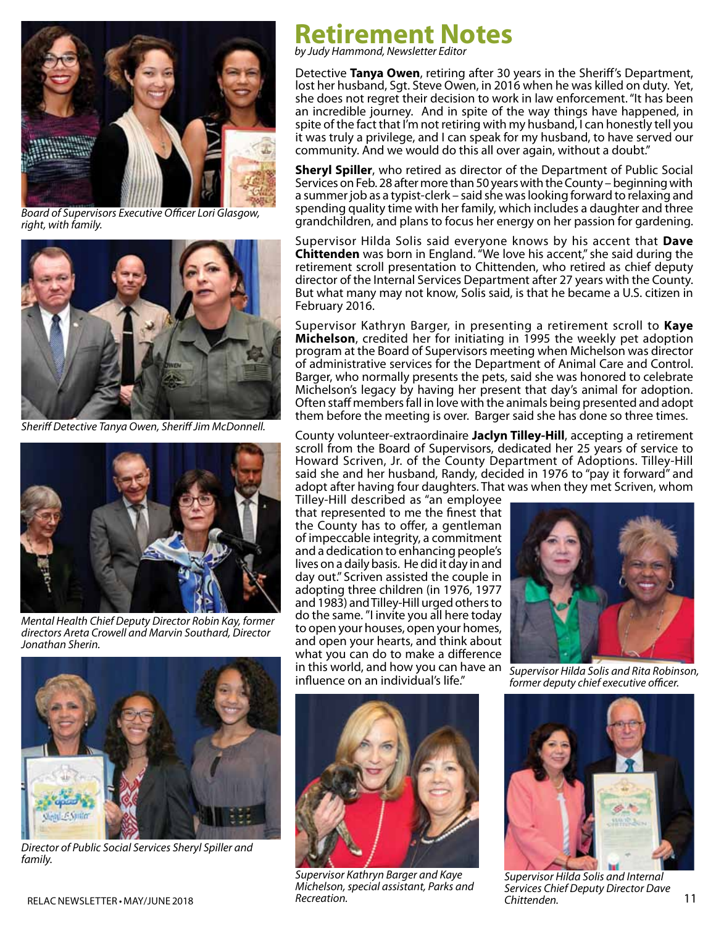

*Board of Supervisors Executive Officer Lori Glasgow, right, with family.*



*Sheriff Detective Tanya Owen, Sheriff Jim McDonnell.*



*Mental Health Chief Deputy Director Robin Kay, former directors Areta Crowell and Marvin Southard, Director Jonathan Sherin.*



*Director of Public Social Services Sheryl Spiller and family.*

## **Retirement Notes**

*by Judy Hammond, Newsletter Editor*

Detective **Tanya Owen**, retiring after 30 years in the Sheriff's Department, lost her husband, Sgt. Steve Owen, in 2016 when he was killed on duty. Yet, she does not regret their decision to work in law enforcement. "It has been an incredible journey. And in spite of the way things have happened, in spite of the fact that I'm not retiring with my husband, I can honestly tell you it was truly a privilege, and I can speak for my husband, to have served our community. And we would do this all over again, without a doubt."

**Sheryl Spiller**, who retired as director of the Department of Public Social Services on Feb. 28 after more than 50 years with the County – beginning with a summer job as a typist-clerk – said she was looking forward to relaxing and spending quality time with her family, which includes a daughter and three grandchildren, and plans to focus her energy on her passion for gardening.

Supervisor Hilda Solis said everyone knows by his accent that **Dave Chittenden** was born in England. "We love his accent," she said during the retirement scroll presentation to Chittenden, who retired as chief deputy director of the Internal Services Department after 27 years with the County. But what many may not know, Solis said, is that he became a U.S. citizen in February 2016.

Supervisor Kathryn Barger, in presenting a retirement scroll to **Kaye Michelson**, credited her for initiating in 1995 the weekly pet adoption program at the Board of Supervisors meeting when Michelson was director of administrative services for the Department of Animal Care and Control. Barger, who normally presents the pets, said she was honored to celebrate Michelson's legacy by having her present that day's animal for adoption. Often staff members fall in love with the animals being presented and adopt them before the meeting is over. Barger said she has done so three times.

County volunteer-extraordinaire **Jaclyn Tilley-Hill**, accepting a retirement scroll from the Board of Supervisors, dedicated her 25 years of service to Howard Scriven, Jr. of the County Department of Adoptions. Tilley-Hill said she and her husband, Randy, decided in 1976 to "pay it forward" and adopt after having four daughters. That was when they met Scriven, whom

Tilley-Hill described as "an employee that represented to me the finest that the County has to offer, a gentleman of impeccable integrity, a commitment and a dedication to enhancing people's lives on a daily basis. He did it day in and day out." Scriven assisted the couple in adopting three children (in 1976, 1977 and 1983) and Tilley-Hill urged others to do the same. "I invite you all here today to open your houses, open your homes, and open your hearts, and think about what you can do to make a difference in this world, and how you can have an influence on an individual's life."



RELAC NEWSLETTER • MAY/JUNE 2018 **Recreation.** Recreation. And the contract of the children of the contract of the contract of the contract of the contract of the contract of the contract of the contract of the contract of *Supervisor Kathryn Barger and Kaye Michelson, special assistant, Parks and Recreation.*



*Supervisor Hilda Solis and Rita Robinson, former deputy chief executive officer.*



*Supervisor Hilda Solis and Internal Services Chief Deputy Director Dave Chittenden.*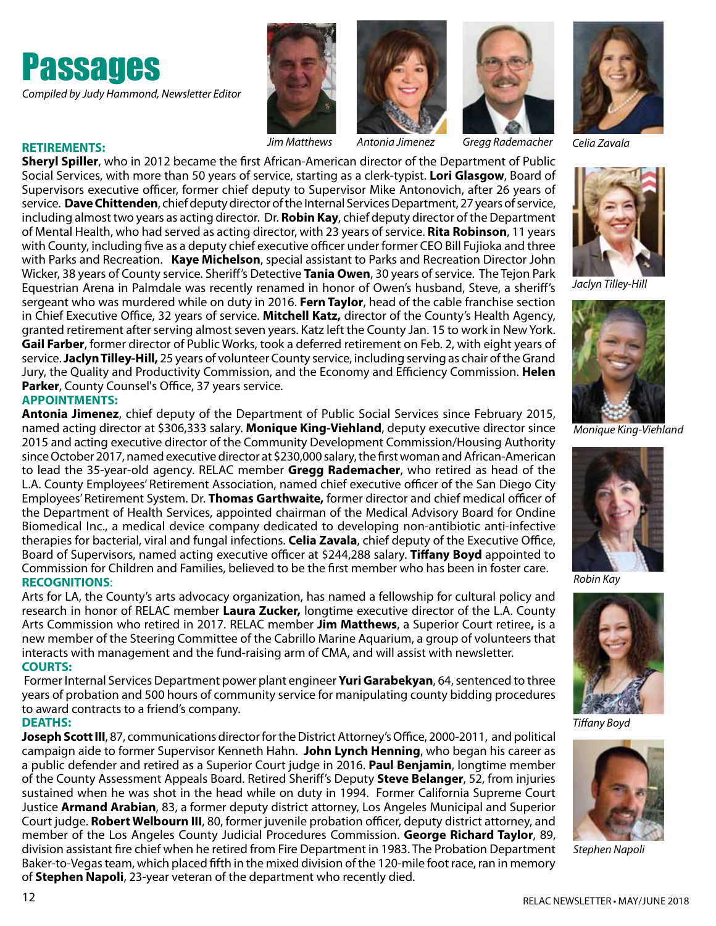







*Jim Matthews Antonia Jimenez Gregg Rademacher Celia Zavala*



#### **RETIREMENTS:**

**Sheryl Spiller**, who in 2012 became the first African-American director of the Department of Public Social Services, with more than 50 years of service, starting as a clerk-typist. **Lori Glasgow**, Board of Supervisors executive officer, former chief deputy to Supervisor Mike Antonovich, after 26 years of service. **Dave Chittenden**, chief deputy director of the Internal Services Department, 27 years of service, including almost two years as acting director. Dr. **Robin Kay**, chief deputy director of the Department of Mental Health, who had served as acting director, with 23 years of service. **Rita Robinson**, 11 years with County, including five as a deputy chief executive officer under former CEO Bill Fujioka and three with Parks and Recreation. **Kaye Michelson**, special assistant to Parks and Recreation Director John Wicker, 38 years of County service. Sheriff's Detective **Tania Owen**, 30 years of service. The Tejon Park Equestrian Arena in Palmdale was recently renamed in honor of Owen's husband, Steve, a sheriff's sergeant who was murdered while on duty in 2016. **Fern Taylor**, head of the cable franchise section in Chief Executive Office, 32 years of service. **Mitchell Katz,** director of the County's Health Agency, granted retirement after serving almost seven years. Katz left the County Jan. 15 to work in New York. **Gail Farber**, former director of Public Works, took a deferred retirement on Feb. 2, with eight years of service. **Jaclyn Tilley-Hill,** 25 years of volunteer County service, including serving as chair of the Grand Jury, the Quality and Productivity Commission, and the Economy and Efficiency Commission. **Helen Parker**, County Counsel's Office, 37 years service.

#### **APPOINTMENTS:**

**Antonia Jimenez**, chief deputy of the Department of Public Social Services since February 2015, named acting director at \$306,333 salary. **Monique King-Viehland**, deputy executive director since

2015 and acting executive director of the Community Development Commission/Housing Authority since October 2017, named executive director at \$230,000 salary, the first woman and African-American to lead the 35-year-old agency. RELAC member **Gregg Rademacher**, who retired as head of the L.A. County Employees' Retirement Association, named chief executive officer of the San Diego City Employees' Retirement System. Dr. **Thomas Garthwaite,** former director and chief medical officer of the Department of Health Services, appointed chairman of the Medical Advisory Board for Ondine Biomedical Inc., a medical device company dedicated to developing non-antibiotic anti-infective therapies for bacterial, viral and fungal infections. **Celia Zavala**, chief deputy of the Executive Office, Board of Supervisors, named acting executive officer at \$244,288 salary. **Tiffany Boyd** appointed to Commission for Children and Families, believed to be the first member who has been in foster care. **RECOGNITIONS**:

Arts for LA, the County's arts advocacy organization, has named a fellowship for cultural policy and research in honor of RELAC member **Laura Zucker,** longtime executive director of the L.A. County Arts Commission who retired in 2017. RELAC member **Jim Matthews**, a Superior Court retiree**,** is a new member of the Steering Committee of the Cabrillo Marine Aquarium, a group of volunteers that interacts with management and the fund-raising arm of CMA, and will assist with newsletter. **COURTS:** 

Former Internal Services Department power plant engineer **Yuri Garabekyan**, 64, sentenced to three years of probation and 500 hours of community service for manipulating county bidding procedures to award contracts to a friend's company.

#### **DEATHS:**

**Joseph Scott III**, 87, communications director for the District Attorney's Office, 2000-2011, and political campaign aide to former Supervisor Kenneth Hahn. **John Lynch Henning**, who began his career as a public defender and retired as a Superior Court judge in 2016. **Paul Benjamin**, longtime member of the County Assessment Appeals Board. Retired Sheriff's Deputy **Steve Belanger**, 52, from injuries sustained when he was shot in the head while on duty in 1994.Former California Supreme Court Justice **Armand Arabian**, 83, a former deputy district attorney, Los Angeles Municipal and Superior Court judge. **Robert Welbourn III**, 80, former juvenile probation officer, deputy district attorney, and member of the Los Angeles County Judicial Procedures Commission. **George Richard Taylor**, 89, division assistant fire chief when he retired from Fire Department in 1983. The Probation Department Baker-to-Vegas team, which placed fifth in the mixed division of the 120-mile foot race, ran in memory of **Stephen Napoli**, 23-year veteran of the department who recently died.



*Jaclyn Tilley-Hill*



*Monique King-Viehland*



*Robin Kay*



*Tiffany Boyd*



*Stephen Napoli*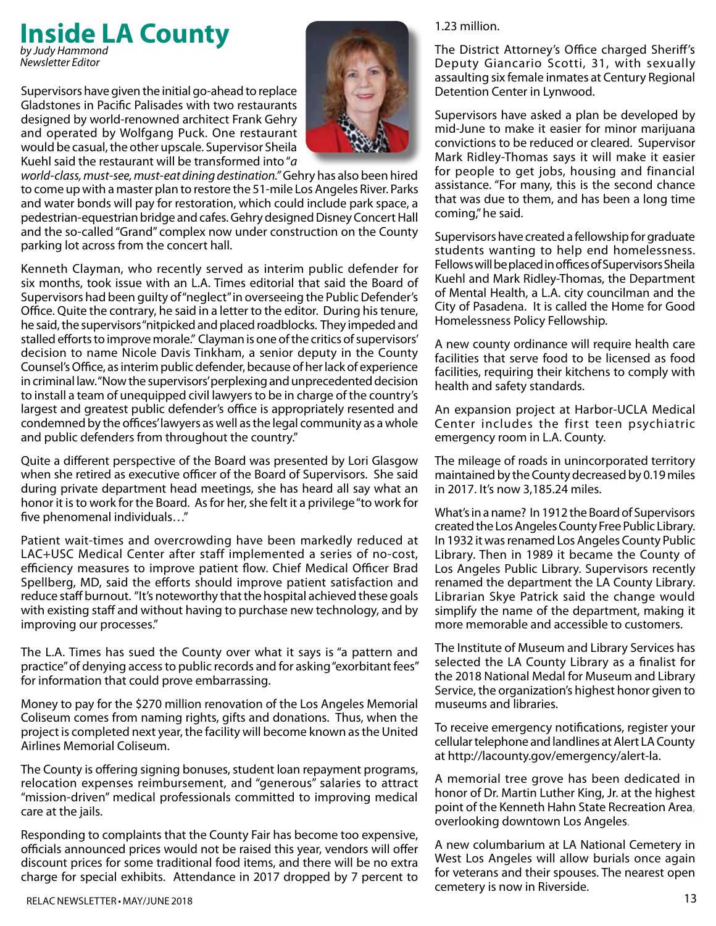#### **Inside LA County** *by Judy Hammond Newsletter Editor*

Supervisors have given the initial go-ahead to replace Gladstones in Pacific Palisades with two restaurants designed by world-renowned architect Frank Gehry and operated by Wolfgang Puck. One restaurant would be casual, the other upscale. Supervisor Sheila Kuehl said the restaurant will be transformed into "*a* 



*world-class, must-see, must-eat dining destination."* Gehry has also been hired to come up with a master plan to restore the 51-mile Los Angeles River. Parks and water bonds will pay for restoration, which could include park space, a pedestrian-equestrian bridge and cafes. Gehry designed Disney Concert Hall and the so-called "Grand" complex now under construction on the County parking lot across from the concert hall.

Kenneth Clayman, who recently served as interim public defender for six months, took issue with an L.A. Times editorial that said the Board of Supervisors had been guilty of "neglect" in overseeing the Public Defender's Office. Quite the contrary, he said in a letter to the editor. During his tenure, he said, the supervisors "nitpicked and placed roadblocks. They impeded and stalled efforts to improve morale." Clayman is one of the critics of supervisors' decision to name Nicole Davis Tinkham, a senior deputy in the County Counsel's Office, as interim public defender, because of her lack of experience in criminal law. "Now the supervisors' perplexing and unprecedented decision to install a team of unequipped civil lawyers to be in charge of the country's largest and greatest public defender's office is appropriately resented and condemned by the offices' lawyers as well as the legal community as a whole and public defenders from throughout the country."

Quite a different perspective of the Board was presented by Lori Glasgow when she retired as executive officer of the Board of Supervisors. She said during private department head meetings, she has heard all say what an honor it is to work for the Board. As for her, she felt it a privilege "to work for five phenomenal individuals…"

Patient wait-times and overcrowding have been markedly reduced at LAC+USC Medical Center after staff implemented a series of no-cost, efficiency measures to improve patient flow. Chief Medical Officer Brad Spellberg, MD, said the efforts should improve patient satisfaction and reduce staff burnout. "It's noteworthy that the hospital achieved these goals with existing staff and without having to purchase new technology, and by improving our processes."

The L.A. Times has sued the County over what it says is "a pattern and practice" of denying access to public records and for asking "exorbitant fees" for information that could prove embarrassing.

Money to pay for the \$270 million renovation of the Los Angeles Memorial Coliseum comes from naming rights, gifts and donations. Thus, when the project is completed next year, the facility will become known as the United Airlines Memorial Coliseum.

The County is offering signing bonuses, student loan repayment programs, relocation expenses reimbursement, and "generous" salaries to attract "mission-driven" medical professionals committed to improving medical care at the jails.

Responding to complaints that the County Fair has become too expensive, officials announced prices would not be raised this year, vendors will offer discount prices for some traditional food items, and there will be no extra charge for special exhibits. Attendance in 2017 dropped by 7 percent to

#### 1.23 million.

The District Attorney's Office charged Sheriff's Deputy Giancario Scotti, 31, with sexually assaulting six female inmates at Century Regional Detention Center in Lynwood.

Supervisors have asked a plan be developed by mid-June to make it easier for minor marijuana convictions to be reduced or cleared. Supervisor Mark Ridley-Thomas says it will make it easier for people to get jobs, housing and financial assistance. "For many, this is the second chance that was due to them, and has been a long time coming," he said.

Supervisors have created a fellowship for graduate students wanting to help end homelessness. Fellows will be placed in offices of Supervisors Sheila Kuehl and Mark Ridley-Thomas, the Department of Mental Health, a L.A. city councilman and the City of Pasadena. It is called the Home for Good Homelessness Policy Fellowship.

A new county ordinance will require health care facilities that serve food to be licensed as food facilities, requiring their kitchens to comply with health and safety standards.

An expansion project at Harbor-UCLA Medical Center includes the first teen psychiatric emergency room in L.A. County.

The mileage of roads in unincorporated territory maintained by the County decreased by 0.19 miles in 2017. It's now 3,185.24 miles.

What's in a name? In 1912 the Board of Supervisors created the Los Angeles County Free Public Library. In 1932 it was renamed Los Angeles County Public Library. Then in 1989 it became the County of Los Angeles Public Library. Supervisors recently renamed the department the LA County Library. Librarian Skye Patrick said the change would simplify the name of the department, making it more memorable and accessible to customers.

The Institute of Museum and Library Services has selected the LA County Library as a finalist for the 2018 National Medal for Museum and Library Service, the organization's highest honor given to museums and libraries.

To receive emergency notifications, register your cellular telephone and landlines at Alert LA County at http://lacounty.gov/emergency/alert-la.

A memorial tree grove has been dedicated in honor of Dr. Martin Luther King, Jr. at the highest point of the Kenneth Hahn State Recreation Area, overlooking downtown Los Angeles.

A new columbarium at LA National Cemetery in West Los Angeles will allow burials once again for veterans and their spouses. The nearest open cemetery is now in Riverside.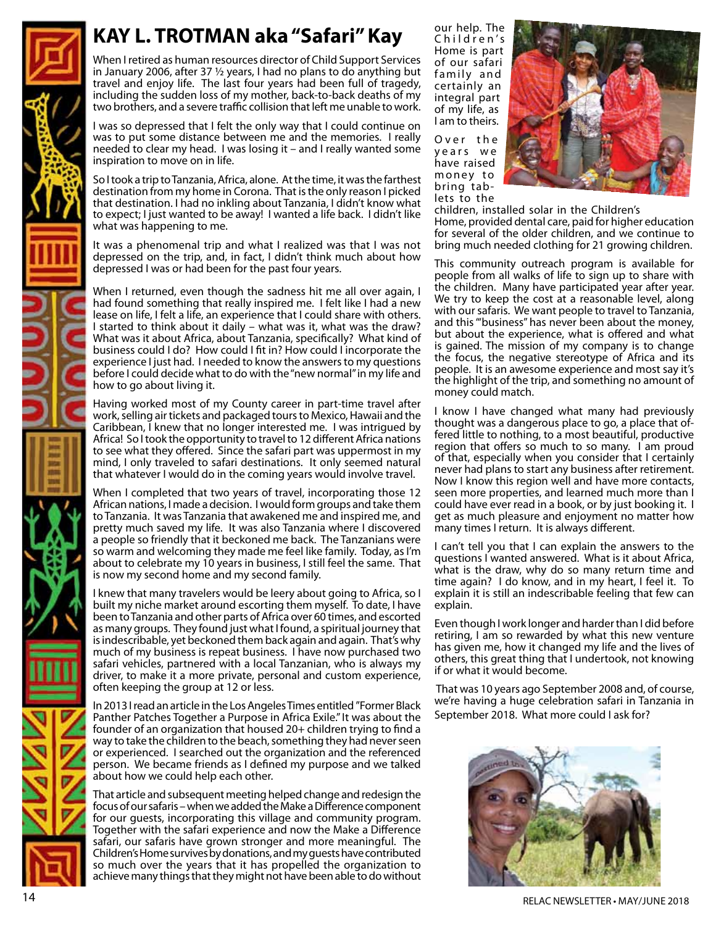## **KAY L. TROTMAN aka "Safari" Kay**

When I retired as human resources director of Child Support Services in January 2006, after 37 ½ years, I had no plans to do anything but travel and enjoy life. The last four years had been full of tragedy, including the sudden loss of my mother, back-to-back deaths of my two brothers, and a severe traffic collision that left me unable to work.

I was so depressed that I felt the only way that I could continue on was to put some distance between me and the memories. I really needed to clear my head. I was losing it – and I really wanted some inspiration to move on in life.

So I took a trip to Tanzania, Africa, alone. At the time, it was the farthest destination from my home in Corona. That is the only reason I picked that destination. I had no inkling about Tanzania, I didn't know what to expect; I just wanted to be away! I wanted a life back. I didn't like what was happening to me.

It was a phenomenal trip and what I realized was that I was not depressed on the trip, and, in fact, I didn't think much about how depressed I was or had been for the past four years.

When I returned, even though the sadness hit me all over again, I had found something that really inspired me. I felt like I had a new lease on life, I felt a life, an experience that I could share with others. I started to think about it daily – what was it, what was the draw? What was it about Africa, about Tanzania, specifically? What kind of business could I do? How could I fit in? How could I incorporate the experience I just had. I needed to know the answers to my questions before I could decide what to do with the "new normal" in my life and how to go about living it.

Having worked most of my County career in part-time travel after work, selling air tickets and packaged tours to Mexico, Hawaii and the Caribbean, I knew that no longer interested me. I was intrigued by Africa! So I took the opportunity to travel to 12 different Africa nations to see what they offered. Since the safari part was uppermost in my mind, I only traveled to safari destinations. It only seemed natural that whatever I would do in the coming years would involve travel.

When I completed that two years of travel, incorporating those 12 African nations, I made a decision. I would form groups and take them to Tanzania. It was Tanzania that awakened me and inspired me, and pretty much saved my life. It was also Tanzania where I discovered a people so friendly that it beckoned me back. The Tanzanians were so warm and welcoming they made me feel like family. Today, as I'm about to celebrate my 10 years in business, I still feel the same. That is now my second home and my second family.

I knew that many travelers would be leery about going to Africa, so I built my niche market around escorting them myself. To date, I have been to Tanzania and other parts of Africa over 60 times, and escorted as many groups. They found just what I found, a spiritual journey that is indescribable, yet beckoned them back again and again. That's why much of my business is repeat business. I have now purchased two safari vehicles, partnered with a local Tanzanian, who is always my driver, to make it a more private, personal and custom experience, often keeping the group at 12 or less.

In 2013 I read an article in the Los Angeles Times entitled "Former Black Panther Patches Together a Purpose in Africa Exile." It was about the founder of an organization that housed 20+ children trying to find a way to take the children to the beach, something they had never seen or experienced. I searched out the organization and the referenced person. We became friends as I defined my purpose and we talked about how we could help each other.

That article and subsequent meeting helped change and redesign the focus of our safaris – when we added the Make a Difference component for our guests, incorporating this village and community program. Together with the safari experience and now the Make a Difference safari, our safaris have grown stronger and more meaningful. The Children's Home survives by donations, and my guests have contributed so much over the years that it has propelled the organization to achieve many things that they might not have been able to do without

our help. The Children's Home is part of our safari family and certainly an integral part of my life, as I am to theirs.

Over the y e a r s w e have raised money to bring tablets to the



children, installed solar in the Children's Home, provided dental care, paid for higher education for several of the older children, and we continue to bring much needed clothing for 21 growing children.

This community outreach program is available for people from all walks of life to sign up to share with the children. Many have participated year after year. We try to keep the cost at a reasonable level, along with our safaris. We want people to travel to Tanzania, and this "'business" has never been about the money, but about the experience, what is offered and what is gained. The mission of my company is to change the focus, the negative stereotype of Africa and its people. It is an awesome experience and most say it's the highlight of the trip, and something no amount of money could match.

I know I have changed what many had previously thought was a dangerous place to go, a place that offered little to nothing, to a most beautiful, productive region that offers so much to so many. I am proud of that, especially when you consider that I certainly never had plans to start any business after retirement. Now I know this region well and have more contacts, seen more properties, and learned much more than I could have ever read in a book, or by just booking it. I get as much pleasure and enjoyment no matter how many times I return. It is always different.

I can't tell you that I can explain the answers to the questions I wanted answered. What is it about Africa, what is the draw, why do so many return time and time again? I do know, and in my heart, I feel it. To explain it is still an indescribable feeling that few can explain.

Even though I work longer and harder than I did before retiring, I am so rewarded by what this new venture has given me, how it changed my life and the lives of others, this great thing that I undertook, not knowing if or what it would become.

 That was 10 years ago September 2008 and, of course, we're having a huge celebration safari in Tanzania in September 2018. What more could I ask for?



RELAC NEWSLETTER · MAY/JUNE 2018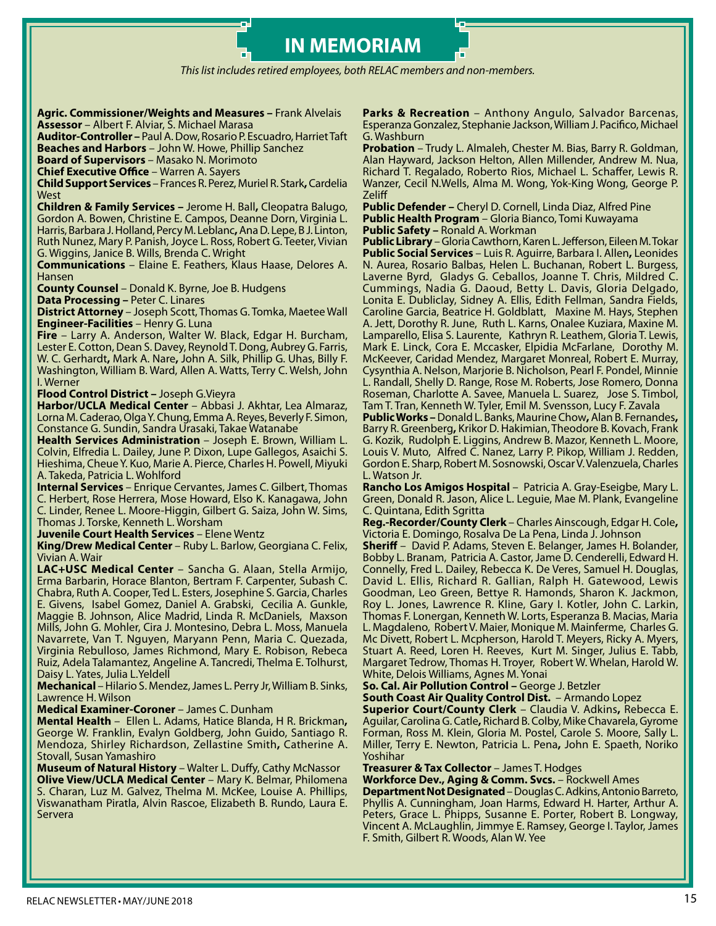*This list includes retired employees, both RELAC members and non-members.*

**IN MEMORIAM**

**Agric. Commissioner/Weights and Measures –** Frank Alvelais **Assessor** – Albert F. Alviar, S. Michael Marasa

**Auditor-Controller –** Paul A. Dow, Rosario P. Escuadro, Harriet Taft **Beaches and Harbors** – John W. Howe, Phillip Sanchez

**Board of Supervisors** – Masako N. Morimoto

**Chief Executive Office** – Warren A. Sayers

**Child Support Services** – Frances R. Perez, Muriel R. Stark**,** Cardelia West

**Children & Family Services –** Jerome H. Ball**,** Cleopatra Balugo, Gordon A. Bowen, Christine E. Campos, Deanne Dorn, Virginia L. Harris, Barbara J. Holland, Percy M. Leblanc**,** Ana D. Lepe, B J. Linton, Ruth Nunez, Mary P. Panish, Joyce L. Ross, Robert G. Teeter, Vivian G. Wiggins, Janice B. Wills, Brenda C. Wright

**Communications** – Elaine E. Feathers, Klaus Haase, Delores A. Hansen

**County Counsel** – Donald K. Byrne, Joe B. Hudgens

**Data Processing –** Peter C. Linares

**District Attorney** – Joseph Scott, Thomas G. Tomka, Maetee Wall **Engineer-Facilities** – Henry G. Luna

**Fire** – Larry A. Anderson, Walter W. Black, Edgar H. Burcham, Lester E. Cotton, Dean S. Davey, Reynold T. Dong, Aubrey G. Farris, W. C. Gerhardt**,** Mark A. Nare**,** John A. Silk, Phillip G. Uhas, Billy F. Washington, William B. Ward, Allen A. Watts, Terry C. Welsh, John I. Werner

**Flood Control District –** Joseph G.Vieyra

**Harbor/UCLA Medical Center** – Abbasi J. Akhtar, Lea Almaraz, Lorna M. Caderao, Olga Y. Chung, Emma A. Reyes, Beverly F. Simon, Constance G. Sundin, Sandra Urasaki, Takae Watanabe

**Health Services Administration** – Joseph E. Brown, William L. Colvin, Elfredia L. Dailey, June P. Dixon, Lupe Gallegos, Asaichi S. Hieshima, Cheue Y. Kuo, Marie A. Pierce, Charles H. Powell, Miyuki A. Takeda, Patricia L. Wohlford

**Internal Services** – Enrique Cervantes, James C. Gilbert, Thomas C. Herbert, Rose Herrera, Mose Howard, Elso K. Kanagawa, John C. Linder, Renee L. Moore-Higgin, Gilbert G. Saiza, John W. Sims, Thomas J. Torske, Kenneth L. Worsham

**Juvenile Court Health Services** – Elene Wentz

**King/Drew Medical Center** – Ruby L. Barlow, Georgiana C. Felix, Vivian A. Wair

**LAC+USC Medical Center** – Sancha G. Alaan, Stella Armijo, Erma Barbarin, Horace Blanton, Bertram F. Carpenter, Subash C. Chabra, Ruth A. Cooper, Ted L. Esters, Josephine S. Garcia, Charles E. Givens, Isabel Gomez, Daniel A. Grabski, Cecilia A. Gunkle, Maggie B. Johnson, Alice Madrid, Linda R. McDaniels, Maxson Mills, John G. Mohler, Cira J. Montesino, Debra L. Moss, Manuela Navarrete, Van T. Nguyen, Maryann Penn, Maria C. Quezada, Virginia Rebulloso, James Richmond, Mary E. Robison, Rebeca Ruiz, Adela Talamantez, Angeline A. Tancredi, Thelma E. Tolhurst, Daisy L. Yates, Julia L.Yeldell

**Mechanical** –Hilario S. Mendez,James L. Perry Jr, William B. Sinks, Lawrence H. Wilson

**Medical Examiner-Coroner** – James C. Dunham

**Mental Health** –Ellen L. Adams, Hatice Blanda, H R. Brickman**,**  George W. Franklin, Evalyn Goldberg, John Guido, Santiago R. Mendoza, Shirley Richardson, Zellastine Smith**,** Catherine A. Stovall, Susan Yamashiro

**Museum of Natural History** – Walter L. Duffy, Cathy McNassor **Olive View/UCLA Medical Center** – Mary K. Belmar, Philomena S. Charan, Luz M. Galvez, Thelma M. McKee, Louise A. Phillips, Viswanatham Piratla, Alvin Rascoe, Elizabeth B. Rundo, Laura E. Servera

**Parks & Recreation** – Anthony Angulo, Salvador Barcenas, Esperanza Gonzalez, Stephanie Jackson, William J. Pacifico, Michael G. Washburn

**Probation** – Trudy L. Almaleh, Chester M. Bias, Barry R. Goldman, Alan Hayward, Jackson Helton, Allen Millender, Andrew M. Nua, Richard T. Regalado, Roberto Rios, Michael L. Schaffer, Lewis R. Wanzer, Cecil N.Wells, Alma M. Wong, Yok-King Wong, George P. Zeliff

**Public Defender –** Cheryl D. Cornell, Linda Diaz, Alfred Pine **Public Health Program** – Gloria Bianco, Tomi Kuwayama **Public Safety –** Ronald A. Workman

**Public Library** – Gloria Cawthorn, Karen L. Jefferson, Eileen M. Tokar **Public Social Services** – Luis R. Aguirre, Barbara I. Allen**,** Leonides N. Aurea, Rosario Balbas, Helen L. Buchanan, Robert L. Burgess, Laverne Byrd, Gladys G. Ceballos, Joanne T. Chris, Mildred C. Cummings, Nadia G. Daoud, Betty L. Davis, Gloria Delgado, Lonita E. Dubliclay, Sidney A. Ellis, Edith Fellman, Sandra Fields, Caroline Garcia, Beatrice H. Goldblatt, Maxine M. Hays, Stephen A. Jett, Dorothy R. June, Ruth L. Karns, Onalee Kuziara, Maxine M. Lamparello, Elisa S. Laurente, Kathryn R. Leathem, Gloria T. Lewis, Mark E. Linck, Cora E. Mccasker, Elpidia McFarlane, Dorothy M. McKeever, Caridad Mendez, Margaret Monreal, Robert E. Murray, Cysynthia A. Nelson, Marjorie B. Nicholson, Pearl F. Pondel, Minnie L. Randall, Shelly D. Range, Rose M. Roberts, Jose Romero, Donna Roseman, Charlotte A. Savee, Manuela L. Suarez, Jose S. Timbol, Tam T. Tran, Kenneth W. Tyler, Emil M. Svensson, Lucy F. Zavala

**Public Works –** Donald L. Banks, Maurine Chow**,** Alan B. Fernandes**,**  Barry R. Greenberg**,** Krikor D. Hakimian, Theodore B. Kovach, Frank G. Kozik, Rudolph E. Liggins, Andrew B. Mazor, Kenneth L. Moore, Louis V. Muto, Alfred C. Nanez, Larry P. Pikop, William J. Redden, Gordon E. Sharp, Robert M. Sosnowski, Oscar V. Valenzuela, Charles L. Watson Jr.

**Rancho Los Amigos Hospital** – Patricia A. Gray-Eseigbe, Mary L. Green, Donald R. Jason, Alice L. Leguie, Mae M. Plank, Evangeline C. Quintana, Edith Sgritta

**Reg.-Recorder/County Clerk** – Charles Ainscough, Edgar H. Cole**,**  Victoria E. Domingo, Rosalva De La Pena, Linda J. Johnson

**Sheriff** – David P. Adams, Steven E. Belanger, James H. Bolander, Bobby L. Branam, Patricia A. Castor, Jame D. Cenderelli, Edward H. Connelly, Fred L. Dailey, Rebecca K. De Veres, Samuel H. Douglas, David L. Ellis, Richard R. Gallian, Ralph H. Gatewood, Lewis Goodman, Leo Green, Bettye R. Hamonds, Sharon K. Jackmon, Roy L. Jones, Lawrence R. Kline, Gary I. Kotler, John C. Larkin, Thomas F. Lonergan, Kenneth W. Lorts, Esperanza B. Macias, Maria L. Magdaleno, Robert V. Maier, Monique M. Mainferme, Charles G. Mc Divett, Robert L. Mcpherson, Harold T. Meyers, Ricky A. Myers, Stuart A. Reed, Loren H. Reeves, Kurt M. Singer, Julius E. Tabb, Margaret Tedrow, Thomas H. Troyer, Robert W. Whelan, Harold W. White, Delois Williams, Agnes M. Yonai

**So. Cal. Air Pollution Control –** George J. Betzler

**South Coast Air Quality Control Dist.** – Armando Lopez

**Superior Court/County Clerk** – Claudia V. Adkins**,** Rebecca E. Aguilar,Carolina G. Catle**,** Richard B. Colby, Mike Chavarela, Gyrome Forman, Ross M. Klein, Gloria M. Postel, Carole S. Moore, Sally L. Miller, Terry E. Newton, Patricia L. Pena**,** John E. Spaeth, Noriko Yoshihar

**Treasurer & Tax Collector** – James T. Hodges

**Workforce Dev., Aging & Comm. Svcs.** – Rockwell Ames **Department Not Designated** – Douglas C. Adkins, Antonio Barreto, Phyllis A. Cunningham, Joan Harms, Edward H. Harter, Arthur A. Peters, Grace L. Phipps, Susanne E. Porter, Robert B. Longway, Vincent A. McLaughlin, Jimmye E. Ramsey, George I. Taylor, James F. Smith, Gilbert R. Woods, Alan W. Yee